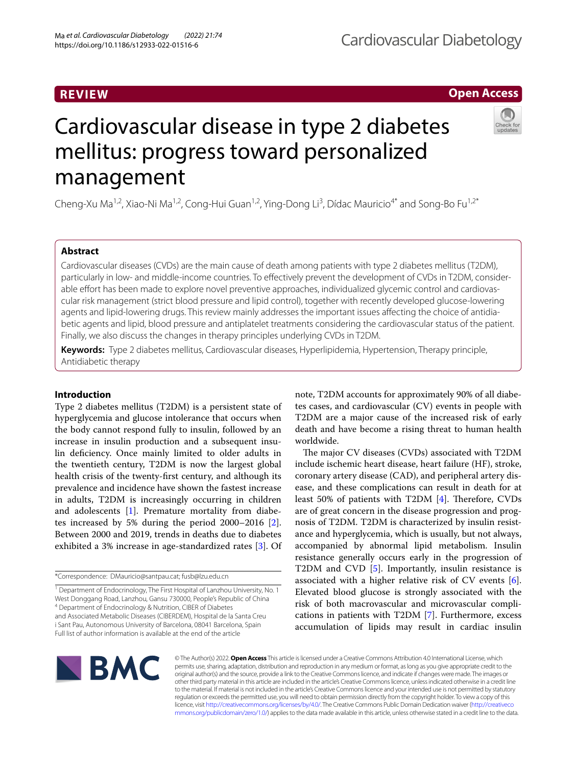# **REVIEW**

# **Open Access**

# Cardiovascular disease in type 2 diabetes mellitus: progress toward personalized management

Cheng-Xu Ma<sup>1,2</sup>, Xiao-Ni Ma<sup>1,2</sup>, Cong-Hui Guan<sup>1,2</sup>, Ying-Dong Li<sup>3</sup>, Dídac Mauricio<sup>4\*</sup> and Song-Bo Fu<sup>1,2\*</sup>

# **Abstract**

Cardiovascular diseases (CVDs) are the main cause of death among patients with type 2 diabetes mellitus (T2DM), particularly in low- and middle-income countries. To effectively prevent the development of CVDs in T2DM, considerable effort has been made to explore novel preventive approaches, individualized glycemic control and cardiovascular risk management (strict blood pressure and lipid control), together with recently developed glucose-lowering agents and lipid-lowering drugs. This review mainly addresses the important issues affecting the choice of antidiabetic agents and lipid, blood pressure and antiplatelet treatments considering the cardiovascular status of the patient. Finally, we also discuss the changes in therapy principles underlying CVDs in T2DM.

**Keywords:** Type 2 diabetes mellitus, Cardiovascular diseases, Hyperlipidemia, Hypertension, Therapy principle, Antidiabetic therapy

# **Introduction**

Type 2 diabetes mellitus (T2DM) is a persistent state of hyperglycemia and glucose intolerance that occurs when the body cannot respond fully to insulin, followed by an increase in insulin production and a subsequent insulin defciency. Once mainly limited to older adults in the twentieth century, T2DM is now the largest global health crisis of the twenty-frst century, and although its prevalence and incidence have shown the fastest increase in adults, T2DM is increasingly occurring in children and adolescents [[1\]](#page-10-0). Premature mortality from diabetes increased by 5% during the period 2000–2016 [\[2](#page-10-1)]. Between 2000 and 2019, trends in deaths due to diabetes exhibited a 3% increase in age-standardized rates [[3](#page-10-2)]. Of

\*Correspondence: DMauricio@santpau.cat; fusb@lzu.edu.cn

<sup>1</sup> Department of Endocrinology, The First Hospital of Lanzhou University, No. 1 West Donggang Road, Lanzhou, Gansu 730000, People's Republic of China 4 Department of Endocrinology & Nutrition, CIBER of Diabetes and Associated Metabolic Diseases (CIBERDEM), Hospital de la Santa Creu i Sant Pau, Autonomous University of Barcelona, 08041 Barcelona, Spain Full list of author information is available at the end of the article

note, T2DM accounts for approximately 90% of all diabetes cases, and cardiovascular (CV) events in people with T2DM are a major cause of the increased risk of early death and have become a rising threat to human health worldwide.

The major CV diseases (CVDs) associated with T2DM include ischemic heart disease, heart failure (HF), stroke, coronary artery disease (CAD), and peripheral artery disease, and these complications can result in death for at least 50% of patients with T2DM  $[4]$  $[4]$ . Therefore, CVDs are of great concern in the disease progression and prognosis of T2DM. T2DM is characterized by insulin resistance and hyperglycemia, which is usually, but not always, accompanied by abnormal lipid metabolism. Insulin resistance generally occurs early in the progression of T2DM and CVD [\[5](#page-10-4)]. Importantly, insulin resistance is associated with a higher relative risk of CV events [\[6](#page-10-5)]. Elevated blood glucose is strongly associated with the risk of both macrovascular and microvascular complications in patients with T2DM [\[7](#page-10-6)]. Furthermore, excess accumulation of lipids may result in cardiac insulin



© The Author(s) 2022. **Open Access** This article is licensed under a Creative Commons Attribution 4.0 International License, which permits use, sharing, adaptation, distribution and reproduction in any medium or format, as long as you give appropriate credit to the original author(s) and the source, provide a link to the Creative Commons licence, and indicate if changes were made. The images or other third party material in this article are included in the article's Creative Commons licence, unless indicated otherwise in a credit line to the material. If material is not included in the article's Creative Commons licence and your intended use is not permitted by statutory regulation or exceeds the permitted use, you will need to obtain permission directly from the copyright holder. To view a copy of this licence, visit [http://creativecommons.org/licenses/by/4.0/.](http://creativecommons.org/licenses/by/4.0/) The Creative Commons Public Domain Dedication waiver ([http://creativeco](http://creativecommons.org/publicdomain/zero/1.0/) [mmons.org/publicdomain/zero/1.0/](http://creativecommons.org/publicdomain/zero/1.0/)) applies to the data made available in this article, unless otherwise stated in a credit line to the data.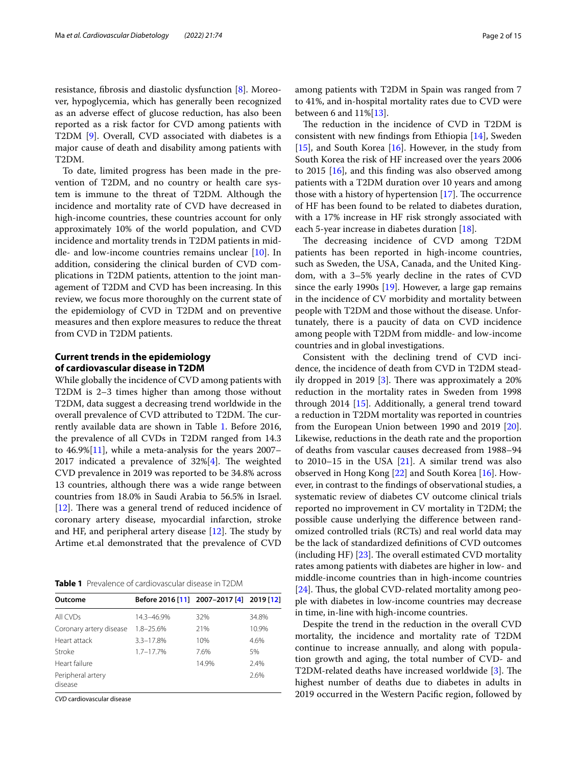resistance, fbrosis and diastolic dysfunction [[8\]](#page-10-7). Moreover, hypoglycemia, which has generally been recognized as an adverse efect of glucose reduction, has also been reported as a risk factor for CVD among patients with T2DM [[9\]](#page-10-8). Overall, CVD associated with diabetes is a major cause of death and disability among patients with T2DM.

To date, limited progress has been made in the prevention of T2DM, and no country or health care system is immune to the threat of T2DM. Although the incidence and mortality rate of CVD have decreased in high-income countries, these countries account for only approximately 10% of the world population, and CVD incidence and mortality trends in T2DM patients in middle- and low-income countries remains unclear [[10\]](#page-10-9). In addition, considering the clinical burden of CVD complications in T2DM patients, attention to the joint management of T2DM and CVD has been increasing. In this review, we focus more thoroughly on the current state of the epidemiology of CVD in T2DM and on preventive measures and then explore measures to reduce the threat from CVD in T2DM patients.

# **Current trends in the epidemiology of cardiovascular disease in T2DM**

While globally the incidence of CVD among patients with T2DM is 2–3 times higher than among those without T2DM, data suggest a decreasing trend worldwide in the overall prevalence of CVD attributed to T2DM. The currently available data are shown in Table [1.](#page-1-0) Before 2016, the prevalence of all CVDs in T2DM ranged from 14.3 to 46.9%[[11\]](#page-10-10), while a meta-analysis for the years 2007– 2017 indicated a prevalence of  $32\frac{1}{4}$ . The weighted CVD prevalence in 2019 was reported to be 34.8% across 13 countries, although there was a wide range between countries from 18.0% in Saudi Arabia to 56.5% in Israel.  $[12]$  $[12]$ . There was a general trend of reduced incidence of coronary artery disease, myocardial infarction, stroke and HF, and peripheral artery disease  $[12]$  $[12]$ . The study by Artime et.al demonstrated that the prevalence of CVD

<span id="page-1-0"></span>**Table 1** Prevalence of cardiovascular disease in T2DM

| Outcome                      | Before 2016 [11] 2007-2017 [4] 2019 [12] |       |       |
|------------------------------|------------------------------------------|-------|-------|
| All CVDs                     | 14.3-46.9%                               | 32%   | 34.8% |
| Coronary artery disease      | 1.8-25.6%                                | 21%   | 10.9% |
| Heart attack                 | $3.3 - 17.8%$                            | 10%   | 4.6%  |
| Stroke                       | $1.7 - 17.7%$                            | 7.6%  | 5%    |
| Heart failure                |                                          | 14.9% | 2.4%  |
| Peripheral artery<br>disease |                                          |       | 2.6%  |

*CVD* cardiovascular disease

The reduction in the incidence of CVD in T2DM is consistent with new fndings from Ethiopia [[14\]](#page-10-13), Sweden [[15\]](#page-10-14), and South Korea [\[16\]](#page-10-15). However, in the study from South Korea the risk of HF increased over the years 2006 to 2015 [[16\]](#page-10-15), and this fnding was also observed among patients with a T2DM duration over 10 years and among those with a history of hypertension  $[17]$  $[17]$  $[17]$ . The occurrence of HF has been found to be related to diabetes duration, with a 17% increase in HF risk strongly associated with each 5-year increase in diabetes duration [\[18\]](#page-11-1).

The decreasing incidence of CVD among T2DM patients has been reported in high-income countries, such as Sweden, the USA, Canada, and the United Kingdom, with a 3–5% yearly decline in the rates of CVD since the early [19](#page-11-2)90s  $[19]$ . However, a large gap remains in the incidence of CV morbidity and mortality between people with T2DM and those without the disease. Unfortunately, there is a paucity of data on CVD incidence among people with T2DM from middle- and low-income countries and in global investigations.

Consistent with the declining trend of CVD incidence, the incidence of death from CVD in T2DM stead-ily dropped in 2019 [\[3](#page-10-2)]. There was approximately a  $20\%$ reduction in the mortality rates in Sweden from 1998 through 2014 [[15\]](#page-10-14). Additionally, a general trend toward a reduction in T2DM mortality was reported in countries from the European Union between 1990 and 2019 [\[20](#page-11-3)]. Likewise, reductions in the death rate and the proportion of deaths from vascular causes decreased from 1988–94 to 2010–15 in the USA  $[21]$  $[21]$ . A similar trend was also observed in Hong Kong [[22\]](#page-11-5) and South Korea [[16](#page-10-15)]. However, in contrast to the fndings of observational studies, a systematic review of diabetes CV outcome clinical trials reported no improvement in CV mortality in T2DM; the possible cause underlying the diference between randomized controlled trials (RCTs) and real world data may be the lack of standardized defnitions of CVD outcomes (including HF)  $[23]$  $[23]$ . The overall estimated CVD mortality rates among patients with diabetes are higher in low- and middle-income countries than in high-income countries [ $24$ ]. Thus, the global CVD-related mortality among people with diabetes in low-income countries may decrease in time, in-line with high-income countries.

Despite the trend in the reduction in the overall CVD mortality, the incidence and mortality rate of T2DM continue to increase annually, and along with population growth and aging, the total number of CVD- and T2DM-related deaths have increased worldwide  $[3]$  $[3]$ . The highest number of deaths due to diabetes in adults in 2019 occurred in the Western Pacifc region, followed by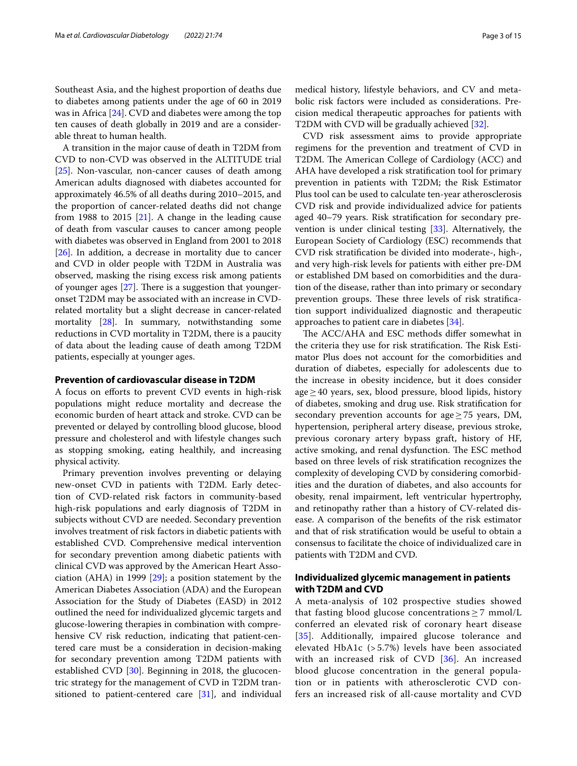Southeast Asia, and the highest proportion of deaths due to diabetes among patients under the age of 60 in 2019 was in Africa [\[24](#page-11-7)]. CVD and diabetes were among the top ten causes of death globally in 2019 and are a considerable threat to human health.

A transition in the major cause of death in T2DM from CVD to non-CVD was observed in the ALTITUDE trial [[25\]](#page-11-8). Non-vascular, non-cancer causes of death among American adults diagnosed with diabetes accounted for approximately 46.5% of all deaths during 2010–2015, and the proportion of cancer-related deaths did not change from 1988 to 2015  $[21]$ . A change in the leading cause of death from vascular causes to cancer among people with diabetes was observed in England from 2001 to 2018 [[26\]](#page-11-9). In addition, a decrease in mortality due to cancer and CVD in older people with T2DM in Australia was observed, masking the rising excess risk among patients of younger ages  $[27]$  $[27]$ . There is a suggestion that youngeronset T2DM may be associated with an increase in CVDrelated mortality but a slight decrease in cancer-related mortality [[28\]](#page-11-11). In summary, notwithstanding some reductions in CVD mortality in T2DM, there is a paucity of data about the leading cause of death among T2DM patients, especially at younger ages.

# **Prevention of cardiovascular disease in T2DM**

A focus on eforts to prevent CVD events in high-risk populations might reduce mortality and decrease the economic burden of heart attack and stroke. CVD can be prevented or delayed by controlling blood glucose, blood pressure and cholesterol and with lifestyle changes such as stopping smoking, eating healthily, and increasing physical activity.

Primary prevention involves preventing or delaying new-onset CVD in patients with T2DM. Early detection of CVD-related risk factors in community-based high-risk populations and early diagnosis of T2DM in subjects without CVD are needed. Secondary prevention involves treatment of risk factors in diabetic patients with established CVD. Comprehensive medical intervention for secondary prevention among diabetic patients with clinical CVD was approved by the American Heart Association (AHA) in 1999 [\[29](#page-11-12)]; a position statement by the American Diabetes Association (ADA) and the European Association for the Study of Diabetes (EASD) in 2012 outlined the need for individualized glycemic targets and glucose-lowering therapies in combination with comprehensive CV risk reduction, indicating that patient-centered care must be a consideration in decision-making for secondary prevention among T2DM patients with established CVD [\[30](#page-11-13)]. Beginning in 2018, the glucocentric strategy for the management of CVD in T2DM transitioned to patient-centered care [[31\]](#page-11-14), and individual medical history, lifestyle behaviors, and CV and metabolic risk factors were included as considerations. Precision medical therapeutic approaches for patients with T2DM with CVD will be gradually achieved [[32](#page-11-15)].

CVD risk assessment aims to provide appropriate regimens for the prevention and treatment of CVD in T2DM. The American College of Cardiology (ACC) and AHA have developed a risk stratifcation tool for primary prevention in patients with T2DM; the Risk Estimator Plus tool can be used to calculate ten-year atherosclerosis CVD risk and provide individualized advice for patients aged 40–79 years. Risk stratifcation for secondary prevention is under clinical testing [\[33](#page-11-16)]. Alternatively, the European Society of Cardiology (ESC) recommends that CVD risk stratifcation be divided into moderate-, high-, and very high-risk levels for patients with either pre-DM or established DM based on comorbidities and the duration of the disease, rather than into primary or secondary prevention groups. These three levels of risk stratification support individualized diagnostic and therapeutic approaches to patient care in diabetes [[34\]](#page-11-17).

The ACC/AHA and ESC methods differ somewhat in the criteria they use for risk stratification. The Risk Estimator Plus does not account for the comorbidities and duration of diabetes, especially for adolescents due to the increase in obesity incidence, but it does consider  $age \geq 40$  years, sex, blood pressure, blood lipids, history of diabetes, smoking and drug use. Risk stratifcation for secondary prevention accounts for age $\geq$  75 years, DM, hypertension, peripheral artery disease, previous stroke, previous coronary artery bypass graft, history of HF, active smoking, and renal dysfunction. The ESC method based on three levels of risk stratifcation recognizes the complexity of developing CVD by considering comorbidities and the duration of diabetes, and also accounts for obesity, renal impairment, left ventricular hypertrophy, and retinopathy rather than a history of CV-related disease. A comparison of the benefts of the risk estimator and that of risk stratifcation would be useful to obtain a consensus to facilitate the choice of individualized care in patients with T2DM and CVD.

# **Individualized glycemic management in patients with T2DM and CVD**

A meta-analysis of 102 prospective studies showed that fasting blood glucose concentrations  $\geq$  7 mmol/L conferred an elevated risk of coronary heart disease [[35](#page-11-18)]. Additionally, impaired glucose tolerance and elevated HbA1c (> 5.7%) levels have been associated with an increased risk of CVD [[36](#page-11-19)]. An increased blood glucose concentration in the general population or in patients with atherosclerotic CVD confers an increased risk of all-cause mortality and CVD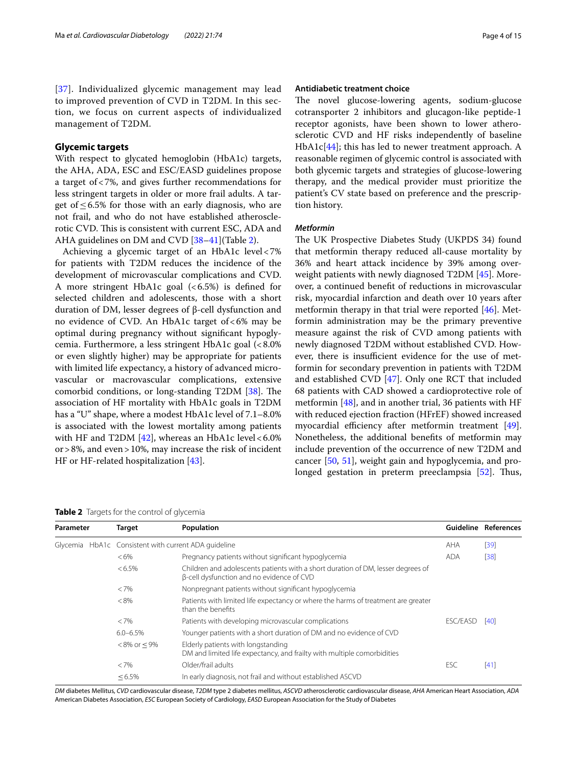[[37](#page-11-20)]. Individualized glycemic management may lead to improved prevention of CVD in T2DM. In this section, we focus on current aspects of individualized management of T2DM.

# **Glycemic targets**

With respect to glycated hemoglobin (HbA1c) targets, the AHA, ADA, ESC and ESC/EASD guidelines propose a target of<7%, and gives further recommendations for less stringent targets in older or more frail adults. A target of  $\leq$  6.5% for those with an early diagnosis, who are not frail, and who do not have established atherosclerotic CVD. This is consistent with current ESC, ADA and AHA guidelines on DM and CVD [\[38](#page-11-21)–[41\]](#page-11-22)(Table [2\)](#page-3-0).

Achieving a glycemic target of an HbA1c level<7% for patients with T2DM reduces the incidence of the development of microvascular complications and CVD. A more stringent HbA1c goal  $( $6.5\%$ )$  is defined for selected children and adolescents, those with a short duration of DM, lesser degrees of β-cell dysfunction and no evidence of CVD. An HbA1c target of<6% may be optimal during pregnancy without signifcant hypoglycemia. Furthermore, a less stringent HbA1c goal (<8.0% or even slightly higher) may be appropriate for patients with limited life expectancy, a history of advanced microvascular or macrovascular complications, extensive comorbid conditions, or long-standing  $T2DM$  [\[38](#page-11-21)]. The association of HF mortality with HbA1c goals in T2DM has a "U" shape, where a modest HbA1c level of 7.1–8.0% is associated with the lowest mortality among patients with HF and T2DM  $[42]$  $[42]$ , whereas an HbA1c level <6.0% or>8%, and even>10%, may increase the risk of incident HF or HF-related hospitalization [\[43\]](#page-11-24).

# **Antidiabetic treatment choice**

The novel glucose-lowering agents, sodium-glucose cotransporter 2 inhibitors and glucagon-like peptide-1 receptor agonists, have been shown to lower atherosclerotic CVD and HF risks independently of baseline HbA1c[[44\]](#page-11-25); this has led to newer treatment approach. A reasonable regimen of glycemic control is associated with both glycemic targets and strategies of glucose-lowering therapy, and the medical provider must prioritize the patient's CV state based on preference and the prescription history.

# *Metformin*

The UK Prospective Diabetes Study (UKPDS 34) found that metformin therapy reduced all-cause mortality by 36% and heart attack incidence by 39% among overweight patients with newly diagnosed T2DM [[45\]](#page-11-26). Moreover, a continued beneft of reductions in microvascular risk, myocardial infarction and death over 10 years after metformin therapy in that trial were reported [\[46](#page-11-27)]. Metformin administration may be the primary preventive measure against the risk of CVD among patients with newly diagnosed T2DM without established CVD. However, there is insufficient evidence for the use of metformin for secondary prevention in patients with T2DM and established CVD [[47\]](#page-11-28). Only one RCT that included 68 patients with CAD showed a cardioprotective role of metformin  $[48]$  $[48]$ , and in another trial, 36 patients with HF with reduced ejection fraction (HFrEF) showed increased myocardial efficiency after metformin treatment  $[49]$  $[49]$ . Nonetheless, the additional benefts of metformin may include prevention of the occurrence of new T2DM and cancer [[50,](#page-11-31) [51\]](#page-11-32), weight gain and hypoglycemia, and pro-longed gestation in preterm preeclampsia [\[52](#page-12-0)]. Thus,

<span id="page-3-0"></span>**Table 2** Targets for the control of glycemia

| Parameter |  | Target             | Population                                                                                                                    |            | Guideline References |
|-----------|--|--------------------|-------------------------------------------------------------------------------------------------------------------------------|------------|----------------------|
|           |  |                    | Glycemia HbA1c Consistent with current ADA guideline                                                                          | AHA        | [39]                 |
|           |  | $<6\%$             | Pregnancy patients without significant hypoglycemia                                                                           | <b>ADA</b> | [38]                 |
|           |  | $< 6.5\%$          | Children and adolescents patients with a short duration of DM, lesser degrees of<br>β-cell dysfunction and no evidence of CVD |            |                      |
|           |  | $< 7\%$            | Nonpregnant patients without significant hypoglycemia                                                                         |            |                      |
|           |  | $< 8\%$            | Patients with limited life expectancy or where the harms of treatment are greater<br>than the benefits                        |            |                      |
|           |  | $<7\%$             | Patients with developing microvascular complications                                                                          | ESC/EASD   | [40]                 |
|           |  | $6.0 - 6.5\%$      | Younger patients with a short duration of DM and no evidence of CVD                                                           |            |                      |
|           |  | $< 8\%$ or $< 9\%$ | Elderly patients with longstanding<br>DM and limited life expectancy, and frailty with multiple comorbidities                 |            |                      |
|           |  | $<7\%$             | Older/frail adults                                                                                                            | ESC        | [41]                 |
|           |  | $< 6.5\%$          | In early diagnosis, not frail and without established ASCVD                                                                   |            |                      |

*DM* diabetes Mellitus, *CVD* cardiovascular disease, *T2DM* type 2 diabetes mellitus, *ASCVD* atherosclerotic cardiovascular disease, *AHA* American Heart Association, *ADA* American Diabetes Association, *ESC* European Society of Cardiology, *EASD* European Association for the Study of Diabetes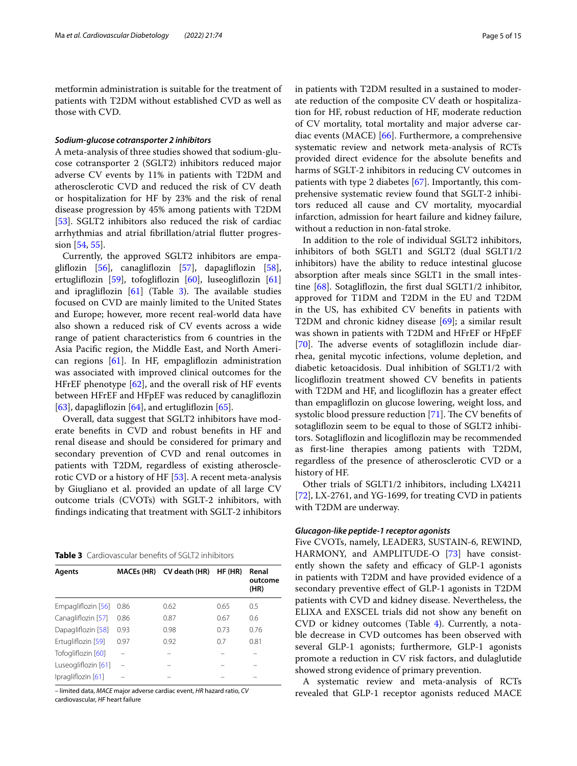metformin administration is suitable for the treatment of patients with T2DM without established CVD as well as those with CVD.

# *Sodium‑glucose cotransporter 2 inhibitors*

A meta-analysis of three studies showed that sodium-glucose cotransporter 2 (SGLT2) inhibitors reduced major adverse CV events by 11% in patients with T2DM and atherosclerotic CVD and reduced the risk of CV death or hospitalization for HF by 23% and the risk of renal disease progression by 45% among patients with T2DM [[53\]](#page-12-1). SGLT2 inhibitors also reduced the risk of cardiac arrhythmias and atrial fbrillation/atrial futter progression [\[54](#page-12-2), [55](#page-12-3)].

Currently, the approved SGLT2 inhibitors are empaglifozin [\[56\]](#page-12-4), canaglifozin [[57\]](#page-12-5), dapaglifozin [\[58](#page-12-6)], ertuglifozin [\[59\]](#page-12-7), tofoglifozin [[60\]](#page-12-8), luseoglifozin [[61](#page-12-9)] and ipragliflozin  $[61]$  (Table [3\)](#page-4-0). The available studies focused on CVD are mainly limited to the United States and Europe; however, more recent real-world data have also shown a reduced risk of CV events across a wide range of patient characteristics from 6 countries in the Asia Pacifc region, the Middle East, and North American regions  $[61]$ . In HF, empagliflozin administration was associated with improved clinical outcomes for the HFrEF phenotype [\[62](#page-12-10)], and the overall risk of HF events between HFrEF and HFpEF was reduced by canaglifozin [[63\]](#page-12-11), dapagliflozin [\[64](#page-12-12)], and ertugliflozin [[65\]](#page-12-13).

Overall, data suggest that SGLT2 inhibitors have moderate benefts in CVD and robust benefts in HF and renal disease and should be considered for primary and secondary prevention of CVD and renal outcomes in patients with T2DM, regardless of existing atherosclerotic CVD or a history of HF [[53\]](#page-12-1). A recent meta-analysis by Giugliano et al. provided an update of all large CV outcome trials (CVOTs) with SGLT-2 inhibitors, with fndings indicating that treatment with SGLT-2 inhibitors

<span id="page-4-0"></span>

|  | <b>Table 3</b> Cardiovascular benefits of SGLT2 inhibitors |
|--|------------------------------------------------------------|
|--|------------------------------------------------------------|

| Agents              | <b>MACEs (HR)</b> | CV death (HR) | HF (HR) | Renal<br>outcome<br>(HR) |
|---------------------|-------------------|---------------|---------|--------------------------|
| Empagliflozin [56]  | 0.86              | 0.62          | 0.65    | 0.5                      |
| Canagliflozin [57]  | 0.86              | 0.87          | 0.67    | 0.6                      |
| Dapagliflozin [58]  | 0.93              | 0.98          | 0.73    | 0.76                     |
| Ertugliflozin [59]  | 0.97              | 0.92          | 0.7     | 0.81                     |
| Tofogliflozin [60]  |                   |               |         |                          |
| Luseogliflozin [61] |                   |               |         |                          |
| Ipragliflozin [61]  |                   |               |         |                          |

– limited data, *MACE* major adverse cardiac event, *HR* hazard ratio, *CV* cardiovascular, *HF* heart failure

in patients with T2DM resulted in a sustained to moderate reduction of the composite CV death or hospitalization for HF, robust reduction of HF, moderate reduction of CV mortality, total mortality and major adverse cardiac events (MACE) [\[66](#page-12-14)]. Furthermore, a comprehensive systematic review and network meta-analysis of RCTs provided direct evidence for the absolute benefts and harms of SGLT-2 inhibitors in reducing CV outcomes in patients with type 2 diabetes [\[67\]](#page-12-15). Importantly, this comprehensive systematic review found that SGLT-2 inhibitors reduced all cause and CV mortality, myocardial infarction, admission for heart failure and kidney failure, without a reduction in non-fatal stroke.

In addition to the role of individual SGLT2 inhibitors, inhibitors of both SGLT1 and SGLT2 (dual SGLT1/2 inhibitors) have the ability to reduce intestinal glucose absorption after meals since SGLT1 in the small intestine [\[68](#page-12-16)]. Sotaglifozin, the frst dual SGLT1/2 inhibitor, approved for T1DM and T2DM in the EU and T2DM in the US, has exhibited CV benefts in patients with T2DM and chronic kidney disease [[69\]](#page-12-17); a similar result was shown in patients with T2DM and HFrEF or HFpEF [[70\]](#page-12-18). The adverse events of sotagliflozin include diarrhea, genital mycotic infections, volume depletion, and diabetic ketoacidosis. Dual inhibition of SGLT1/2 with licoglifozin treatment showed CV benefts in patients with T2DM and HF, and licogliflozin has a greater effect than empaglifozin on glucose lowering, weight loss, and systolic blood pressure reduction  $[71]$  $[71]$ . The CV benefits of sotaglifozin seem to be equal to those of SGLT2 inhibitors. Sotaglifozin and licoglifozin may be recommended as frst-line therapies among patients with T2DM, regardless of the presence of atherosclerotic CVD or a history of HF.

Other trials of SGLT1/2 inhibitors, including LX4211 [[72\]](#page-12-20), LX-2761, and YG-1699, for treating CVD in patients with T2DM are underway.

# *Glucagon‑like peptide‑1 receptor agonists*

Five CVOTs, namely, LEADER3, SUSTAIN-6, REWIND, HARMONY, and AMPLITUDE-O [[73\]](#page-12-21) have consistently shown the safety and efficacy of GLP-1 agonists in patients with T2DM and have provided evidence of a secondary preventive efect of GLP-1 agonists in T2DM patients with CVD and kidney disease. Nevertheless, the ELIXA and EXSCEL trials did not show any beneft on CVD or kidney outcomes (Table [4](#page-5-0)). Currently, a notable decrease in CVD outcomes has been observed with several GLP-1 agonists; furthermore, GLP-1 agonists promote a reduction in CV risk factors, and dulaglutide showed strong evidence of primary prevention.

A systematic review and meta-analysis of RCTs revealed that GLP-1 receptor agonists reduced MACE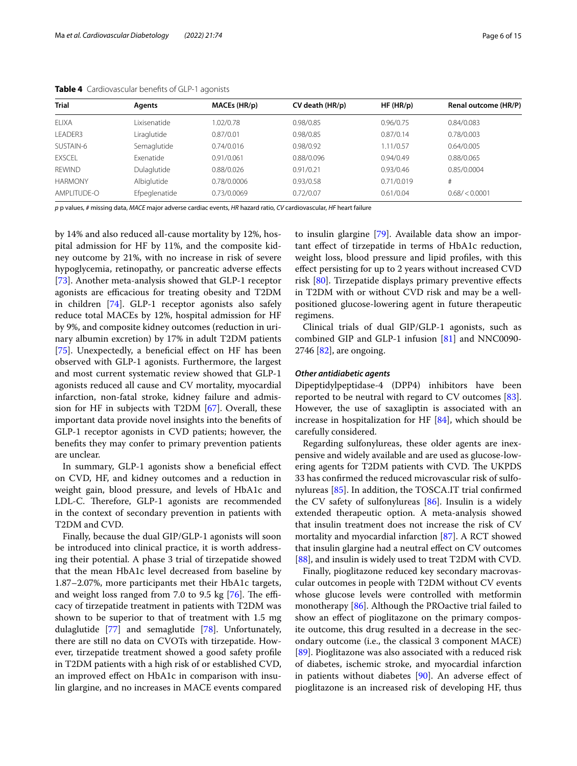| <b>Trial</b>   | Agents        | MACEs (HR/p) | CV death (HR/p) | HF(HR/p)   | Renal outcome (HR/P) |
|----------------|---------------|--------------|-----------------|------------|----------------------|
| ELIXA          | Lixisenatide  | 1.02/0.78    | 0.98/0.85       | 0.96/0.75  | 0.84/0.083           |
| LEADER3        | Liraglutide   | 0.87/0.01    | 0.98/0.85       | 0.87/0.14  | 0.78/0.003           |
| SUSTAIN-6      | Semaglutide   | 0.74/0.016   | 0.98/0.92       | .11/0.57   | 0.64/0.005           |
| <b>EXSCEL</b>  | Exenatide     | 0.91/0.061   | 0.88/0.096      | 0.94/0.49  | 0.88/0.065           |
| <b>REWIND</b>  | Dulaglutide   | 0.88/0.026   | 0.91/0.21       | 0.93/0.46  | 0.85/0.0004          |
| <b>HARMONY</b> | Albiglutide   | 0.78/0.0006  | 0.93/0.58       | 0.71/0.019 | #                    |
| AMPI ITUDE-O   | Efpeglenatide | 0.73/0.0069  | 0.72/0.07       | 0.61/0.04  | 0.68 / < 0.0001      |

<span id="page-5-0"></span>**Table 4** Cardiovascular benefts of GLP-1 agonists

*p* p values, *#* missing data, *MACE* major adverse cardiac events, *HR* hazard ratio, *CV* cardiovascular, *HF* heart failure

by 14% and also reduced all-cause mortality by 12%, hospital admission for HF by 11%, and the composite kidney outcome by 21%, with no increase in risk of severe hypoglycemia, retinopathy, or pancreatic adverse efects [[73\]](#page-12-21). Another meta-analysis showed that GLP-1 receptor agonists are efficacious for treating obesity and T2DM in children [\[74](#page-12-22)]. GLP-1 receptor agonists also safely reduce total MACEs by 12%, hospital admission for HF by 9%, and composite kidney outcomes (reduction in urinary albumin excretion) by 17% in adult T2DM patients [[75\]](#page-12-23). Unexpectedly, a beneficial effect on HF has been observed with GLP-1 agonists. Furthermore, the largest and most current systematic review showed that GLP-1 agonists reduced all cause and CV mortality, myocardial infarction, non-fatal stroke, kidney failure and admission for HF in subjects with T2DM [\[67\]](#page-12-15). Overall, these important data provide novel insights into the benefts of GLP-1 receptor agonists in CVD patients; however, the benefts they may confer to primary prevention patients are unclear.

In summary, GLP-1 agonists show a beneficial effect on CVD, HF, and kidney outcomes and a reduction in weight gain, blood pressure, and levels of HbA1c and LDL-C. Therefore, GLP-1 agonists are recommended in the context of secondary prevention in patients with T2DM and CVD.

Finally, because the dual GIP/GLP-1 agonists will soon be introduced into clinical practice, it is worth addressing their potential. A phase 3 trial of tirzepatide showed that the mean HbA1c level decreased from baseline by 1.87–2.07%, more participants met their HbA1c targets, and weight loss ranged from 7.0 to 9.5 kg  $[76]$  $[76]$ . The efficacy of tirzepatide treatment in patients with T2DM was shown to be superior to that of treatment with 1.5 mg dulaglutide [[77\]](#page-12-25) and semaglutide [\[78](#page-12-26)]. Unfortunately, there are still no data on CVOTs with tirzepatide. However, tirzepatide treatment showed a good safety profle in T2DM patients with a high risk of or established CVD, an improved efect on HbA1c in comparison with insulin glargine, and no increases in MACE events compared

to insulin glargine [[79\]](#page-12-27). Available data show an important efect of tirzepatide in terms of HbA1c reduction, weight loss, blood pressure and lipid profles, with this efect persisting for up to 2 years without increased CVD risk [\[80](#page-12-28)]. Tirzepatide displays primary preventive efects in T2DM with or without CVD risk and may be a wellpositioned glucose-lowering agent in future therapeutic regimens.

Clinical trials of dual GIP/GLP-1 agonists, such as combined GIP and GLP-1 infusion [\[81\]](#page-12-29) and NNC0090- 2746 [[82\]](#page-12-30), are ongoing.

# *Other antidiabetic agents*

Dipeptidylpeptidase-4 (DPP4) inhibitors have been reported to be neutral with regard to CV outcomes [\[83](#page-12-31)]. However, the use of saxagliptin is associated with an increase in hospitalization for HF  $[84]$  $[84]$ , which should be carefully considered.

Regarding sulfonylureas, these older agents are inexpensive and widely available and are used as glucose-lowering agents for T2DM patients with CVD. The UKPDS 33 has confrmed the reduced microvascular risk of sulfonylureas [[85\]](#page-12-33). In addition, the TOSCA.IT trial confrmed the CV safety of sulfonylureas [\[86\]](#page-13-0). Insulin is a widely extended therapeutic option. A meta-analysis showed that insulin treatment does not increase the risk of CV mortality and myocardial infarction [[87](#page-13-1)]. A RCT showed that insulin glargine had a neutral efect on CV outcomes [[88\]](#page-13-2), and insulin is widely used to treat T2DM with CVD.

Finally, pioglitazone reduced key secondary macrovascular outcomes in people with T2DM without CV events whose glucose levels were controlled with metformin monotherapy [\[86](#page-13-0)]. Although the PROactive trial failed to show an efect of pioglitazone on the primary composite outcome, this drug resulted in a decrease in the secondary outcome (i.e., the classical 3 component MACE) [[89\]](#page-13-3). Pioglitazone was also associated with a reduced risk of diabetes, ischemic stroke, and myocardial infarction in patients without diabetes [[90\]](#page-13-4). An adverse efect of pioglitazone is an increased risk of developing HF, thus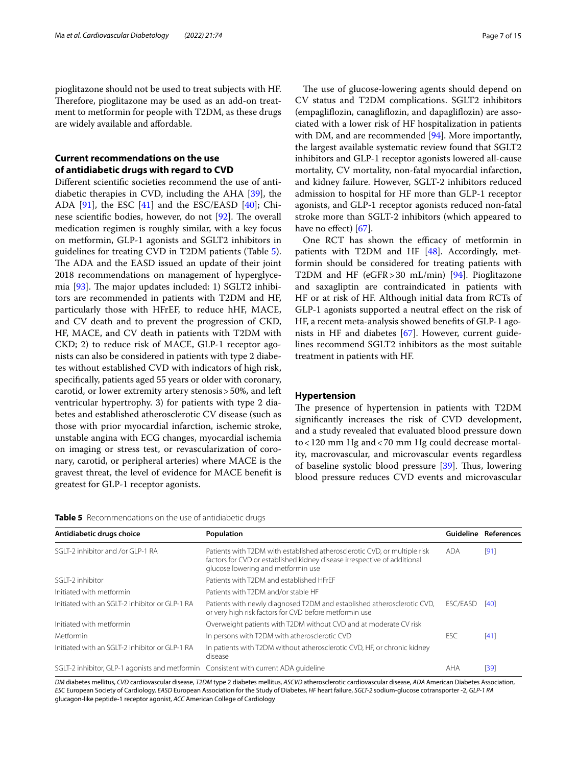pioglitazone should not be used to treat subjects with HF. Therefore, pioglitazone may be used as an add-on treatment to metformin for people with T2DM, as these drugs are widely available and afordable.

# **Current recommendations on the use of antidiabetic drugs with regard to CVD**

Diferent scientifc societies recommend the use of antidiabetic therapies in CVD, including the AHA [[39\]](#page-11-33), the ADA [[91\]](#page-13-5), the ESC [\[41\]](#page-11-22) and the ESC/EASD [[40\]](#page-11-34); Chinese scientific bodies, however, do not  $[92]$  $[92]$ . The overall medication regimen is roughly similar, with a key focus on metformin, GLP-1 agonists and SGLT2 inhibitors in guidelines for treating CVD in T2DM patients (Table [5](#page-6-0)). The ADA and the EASD issued an update of their joint 2018 recommendations on management of hyperglycemia  $[93]$  $[93]$  $[93]$ . The major updates included: 1) SGLT2 inhibitors are recommended in patients with T2DM and HF, particularly those with HFrEF, to reduce hHF, MACE, and CV death and to prevent the progression of CKD, HF, MACE, and CV death in patients with T2DM with CKD; 2) to reduce risk of MACE, GLP-1 receptor agonists can also be considered in patients with type 2 diabetes without established CVD with indicators of high risk, specifcally, patients aged 55 years or older with coronary, carotid, or lower extremity artery stenosis>50%, and left ventricular hypertrophy. 3) for patients with type 2 diabetes and established atherosclerotic CV disease (such as those with prior myocardial infarction, ischemic stroke, unstable angina with ECG changes, myocardial ischemia on imaging or stress test, or revascularization of coronary, carotid, or peripheral arteries) where MACE is the gravest threat, the level of evidence for MACE beneft is greatest for GLP-1 receptor agonists.

The use of glucose-lowering agents should depend on CV status and T2DM complications. SGLT2 inhibitors (empaglifozin, canaglifozin, and dapaglifozin) are associated with a lower risk of HF hospitalization in patients with DM, and are recommended [\[94](#page-13-8)]. More importantly, the largest available systematic review found that SGLT2 inhibitors and GLP-1 receptor agonists lowered all-cause mortality, CV mortality, non-fatal myocardial infarction, and kidney failure. However, SGLT-2 inhibitors reduced admission to hospital for HF more than GLP-1 receptor agonists, and GLP-1 receptor agonists reduced non-fatal stroke more than SGLT-2 inhibitors (which appeared to have no effect) [[67\]](#page-12-15).

One RCT has shown the efficacy of metformin in patients with T2DM and HF [[48\]](#page-11-29). Accordingly, metformin should be considered for treating patients with T2DM and HF (eGFR>30 mL/min) [[94\]](#page-13-8). Pioglitazone and saxagliptin are contraindicated in patients with HF or at risk of HF. Although initial data from RCTs of GLP-1 agonists supported a neutral efect on the risk of HF, a recent meta-analysis showed benefts of GLP-1 agonists in HF and diabetes [\[67](#page-12-15)]. However, current guidelines recommend SGLT2 inhibitors as the most suitable treatment in patients with HF.

# **Hypertension**

The presence of hypertension in patients with T2DM signifcantly increases the risk of CVD development, and a study revealed that evaluated blood pressure down to<120 mm Hg and<70 mm Hg could decrease mortality, macrovascular, and microvascular events regardless of baseline systolic blood pressure  $[39]$  $[39]$ . Thus, lowering blood pressure reduces CVD events and microvascular

<span id="page-6-0"></span>

| Table 5 Recommendations on the use of antidiabetic drugs |  |
|----------------------------------------------------------|--|
|----------------------------------------------------------|--|

| Antidiabetic drugs choice                                                            | Population                                                                                                                                                                                  | Guideline | References |
|--------------------------------------------------------------------------------------|---------------------------------------------------------------------------------------------------------------------------------------------------------------------------------------------|-----------|------------|
| SGLT-2 inhibitor and /or GLP-1 RA                                                    | Patients with T2DM with established atherosclerotic CVD, or multiple risk<br>factors for CVD or established kidney disease irrespective of additional<br>glucose lowering and metformin use | ada       | [91]       |
| SGIT-2 inhibitor                                                                     | Patients with T2DM and established HFrEF                                                                                                                                                    |           |            |
| Initiated with metformin                                                             | Patients with T2DM and/or stable HF                                                                                                                                                         |           |            |
| Initiated with an SGIT-2 inhibitor or GI P-1 RA                                      | Patients with newly diagnosed T2DM and established atherosclerotic CVD,<br>or very high risk factors for CVD before metformin use                                                           | ESC/EASD  | [40]       |
| Initiated with metformin                                                             | Overweight patients with T2DM without CVD and at moderate CV risk                                                                                                                           |           |            |
| Metformin                                                                            | In persons with T2DM with atherosclerotic CVD                                                                                                                                               | ESC       | [41]       |
| Initiated with an SGLT-2 inhibitor or GLP-1 RA                                       | In patients with T2DM without atherosclerotic CVD, HF, or chronic kidney<br>disease                                                                                                         |           |            |
| SGLT-2 inhibitor, GLP-1 agonists and metformin Consistent with current ADA quideline |                                                                                                                                                                                             | AHA       | [39]       |

*DM* diabetes mellitus, *CVD* cardiovascular disease, *T2DM* type 2 diabetes mellitus, *ASCVD* atherosclerotic cardiovascular disease, *ADA* American Diabetes Association, *ESC* European Society of Cardiology, *EASD* European Association for the Study of Diabetes, *HF* heart failure, *SGLT-2* sodium-glucose cotransporter -2, *GLP-1 RA* glucagon-like peptide-1 receptor agonist, *ACC* American College of Cardiology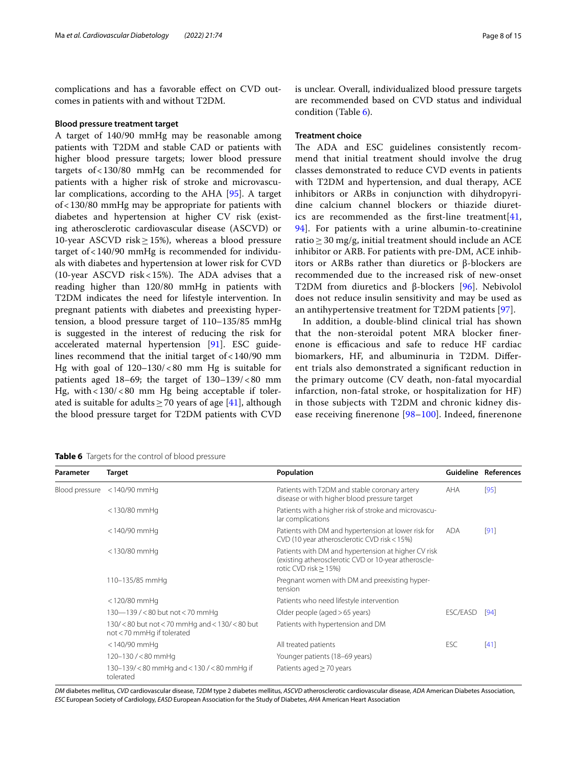complications and has a favorable efect on CVD outcomes in patients with and without T2DM.

#### **Blood pressure treatment target**

A target of 140/90 mmHg may be reasonable among patients with T2DM and stable CAD or patients with higher blood pressure targets; lower blood pressure targets of<130/80 mmHg can be recommended for patients with a higher risk of stroke and microvascular complications, according to the AHA [[95\]](#page-13-9). A target of<130/80 mmHg may be appropriate for patients with diabetes and hypertension at higher CV risk (existing atherosclerotic cardiovascular disease (ASCVD) or 10-year ASCVD risk $\geq$ 15%), whereas a blood pressure target of<140/90 mmHg is recommended for individuals with diabetes and hypertension at lower risk for CVD (10-year ASCVD risk <  $15\%$ ). The ADA advises that a reading higher than 120/80 mmHg in patients with T2DM indicates the need for lifestyle intervention. In pregnant patients with diabetes and preexisting hypertension, a blood pressure target of 110–135/85 mmHg is suggested in the interest of reducing the risk for accelerated maternal hypertension [\[91](#page-13-5)]. ESC guidelines recommend that the initial target of  $<$  140/90 mm Hg with goal of 120–130/<80 mm Hg is suitable for patients aged  $18-69$ ; the target of  $130-139/ $80$  mm$ Hg, with <130/<80 mm Hg being acceptable if tolerated is suitable for adults  $>70$  years of age [\[41](#page-11-22)], although the blood pressure target for T2DM patients with CVD

<span id="page-7-0"></span>

|  |  | Table 6 Targets for the control of blood pressure |  |
|--|--|---------------------------------------------------|--|
|--|--|---------------------------------------------------|--|

is unclear. Overall, individualized blood pressure targets are recommended based on CVD status and individual

# **Treatment choice**

condition (Table [6](#page-7-0)).

The ADA and ESC guidelines consistently recommend that initial treatment should involve the drug classes demonstrated to reduce CVD events in patients with T2DM and hypertension, and dual therapy, ACE inhibitors or ARBs in conjunction with dihydropyridine calcium channel blockers or thiazide diuretics are recommended as the first-line treatment  $[41]$  $[41]$ , [94\]](#page-13-8). For patients with a urine albumin-to-creatinine ratio≥30 mg/g, initial treatment should include an ACE inhibitor or ARB. For patients with pre-DM, ACE inhibitors or ARBs rather than diuretics or β-blockers are recommended due to the increased risk of new-onset T2DM from diuretics and β-blockers [[96\]](#page-13-10). Nebivolol does not reduce insulin sensitivity and may be used as an antihypertensive treatment for T2DM patients [[97\]](#page-13-11).

In addition, a double-blind clinical trial has shown that the non-steroidal potent MRA blocker fnerenone is efficacious and safe to reduce HF cardiac biomarkers, HF, and albuminuria in T2DM. Diferent trials also demonstrated a signifcant reduction in the primary outcome (CV death, non-fatal myocardial infarction, non-fatal stroke, or hospitalization for HF) in those subjects with T2DM and chronic kidney dis-ease receiving finerenone [[98–](#page-13-12)[100](#page-13-13)]. Indeed, finerenone

| Parameter | Target                                                                  | Population                                                                                                                               |          | Guideline References |
|-----------|-------------------------------------------------------------------------|------------------------------------------------------------------------------------------------------------------------------------------|----------|----------------------|
|           | Blood pressure <140/90 mmHq                                             | Patients with T2DM and stable coronary artery<br>disease or with higher blood pressure target                                            | AHA      | [95]                 |
|           | <130/80 mmHq                                                            | Patients with a higher risk of stroke and microvascu-<br>lar complications                                                               |          |                      |
|           | <140/90 mmHq                                                            | Patients with DM and hypertension at lower risk for<br>CVD (10 year atherosclerotic CVD risk < 15%)                                      | ada      | [91]                 |
|           | <130/80 mmHq                                                            | Patients with DM and hypertension at higher CV risk<br>(existing atherosclerotic CVD or 10-year atheroscle-<br>rotic CVD risk $> 15\%$ ) |          |                      |
|           | 110-135/85 mmHg                                                         | Pregnant women with DM and preexisting hyper-<br>tension                                                                                 |          |                      |
|           | $<$ 120/80 mmHq                                                         | Patients who need lifestyle intervention                                                                                                 |          |                      |
|           | 130-139/<80 but not<70 mmHg                                             | Older people (aged > 65 years)                                                                                                           | ESC/EASD | [94]                 |
|           | 130/<80 but not <70 mmHg and <130/<80 but<br>not < 70 mmHg if tolerated | Patients with hypertension and DM                                                                                                        |          |                      |
|           | <140/90 mmHq                                                            | All treated patients                                                                                                                     | ESC      | [41]                 |
|           | 120-130/<80 mmHg                                                        | Younger patients (18-69 years)                                                                                                           |          |                      |
|           | 130-139/<80 mmHg and <130 /<80 mmHg if<br>tolerated                     | Patients aged $\geq$ 70 years                                                                                                            |          |                      |

*DM* diabetes mellitus, *CVD* cardiovascular disease, *T2DM* type 2 diabetes mellitus, *ASCVD* atherosclerotic cardiovascular disease, *ADA* American Diabetes Association, *ESC* European Society of Cardiology, *EASD* European Association for the Study of Diabetes, *AHA* American Heart Association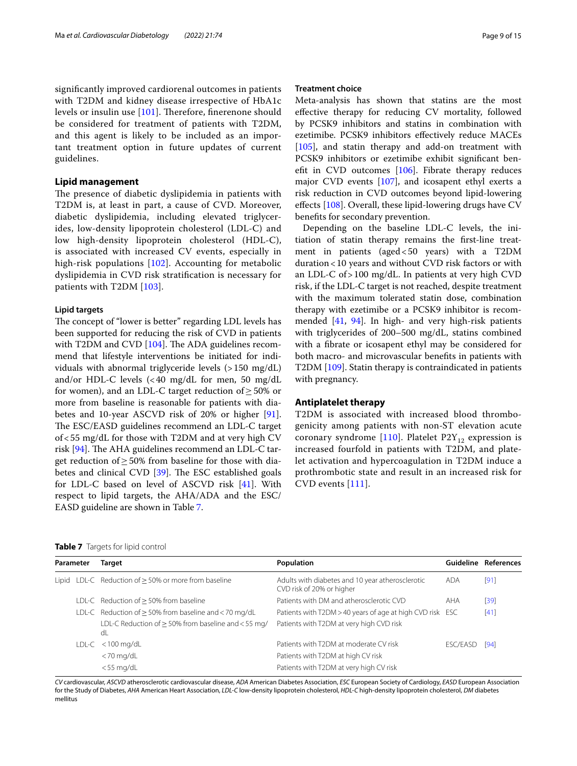with T2DM and kidney disease irrespective of HbA1c levels or insulin use [[101\]](#page-13-14). Therefore, finerenone should be considered for treatment of patients with T2DM, and this agent is likely to be included as an important treatment option in future updates of current guidelines.

# **Lipid management**

The presence of diabetic dyslipidemia in patients with T2DM is, at least in part, a cause of CVD. Moreover, diabetic dyslipidemia, including elevated triglycerides, low-density lipoprotein cholesterol (LDL-C) and low high-density lipoprotein cholesterol (HDL-C), is associated with increased CV events, especially in high-risk populations [[102\]](#page-13-15). Accounting for metabolic dyslipidemia in CVD risk stratifcation is necessary for patients with T2DM [\[103](#page-13-16)].

# **Lipid targets**

The concept of "lower is better" regarding LDL levels has been supported for reducing the risk of CVD in patients with T2DM and CVD  $[104]$  $[104]$  $[104]$ . The ADA guidelines recommend that lifestyle interventions be initiated for individuals with abnormal triglyceride levels  $(>150 \text{ mg/dL})$ and/or HDL-C levels (<40 mg/dL for men, 50 mg/dL for women), and an LDL-C target reduction of  $\geq$  50% or more from baseline is reasonable for patients with diabetes and 10-year ASCVD risk of 20% or higher [\[91](#page-13-5)]. The ESC/EASD guidelines recommend an LDL-C target of<55 mg/dL for those with T2DM and at very high CV risk  $[94]$  $[94]$ . The AHA guidelines recommend an LDL-C target reduction of  $\geq$  50% from baseline for those with diabetes and clinical CVD  $[39]$  $[39]$ . The ESC established goals for LDL-C based on level of ASCVD risk [[41](#page-11-22)]. With respect to lipid targets, the AHA/ADA and the ESC/ EASD guideline are shown in Table [7.](#page-8-0)

Meta-analysis has shown that statins are the most efective therapy for reducing CV mortality, followed by PCSK9 inhibitors and statins in combination with ezetimibe. PCSK9 inhibitors efectively reduce MACEs [[105\]](#page-13-18), and statin therapy and add-on treatment with PCSK9 inhibitors or ezetimibe exhibit signifcant beneft in CVD outcomes [\[106](#page-13-19)]. Fibrate therapy reduces major CVD events [[107\]](#page-13-20), and icosapent ethyl exerts a risk reduction in CVD outcomes beyond lipid-lowering effects [[108](#page-13-21)]. Overall, these lipid-lowering drugs have CV benefts for secondary prevention.

Depending on the baseline LDL-C levels, the initiation of statin therapy remains the frst-line treatment in patients (aged<50 years) with a T2DM duration<10 years and without CVD risk factors or with an LDL-C of>100 mg/dL. In patients at very high CVD risk, if the LDL-C target is not reached, despite treatment with the maximum tolerated statin dose, combination therapy with ezetimibe or a PCSK9 inhibitor is recommended [[41,](#page-11-22) [94](#page-13-8)]. In high- and very high-risk patients with triglycerides of 200–500 mg/dL, statins combined with a fbrate or icosapent ethyl may be considered for both macro- and microvascular benefts in patients with T2DM [\[109\]](#page-13-22). Statin therapy is contraindicated in patients with pregnancy.

# **Antiplatelet therapy**

T2DM is associated with increased blood thrombogenicity among patients with non-ST elevation acute coronary syndrome [\[110\]](#page-13-23). Platelet  $P2Y_{12}$  expression is increased fourfold in patients with T2DM, and platelet activation and hypercoagulation in T2DM induce a prothrombotic state and result in an increased risk for CVD events [[111\]](#page-13-24).

<span id="page-8-0"></span>

|  | Table 7 Targets for lipid control |  |
|--|-----------------------------------|--|
|--|-----------------------------------|--|

| Parameter |  | Target                                                         | Population                                                                    |            | Guideline References |
|-----------|--|----------------------------------------------------------------|-------------------------------------------------------------------------------|------------|----------------------|
|           |  | Lipid LDL-C Reduction of $\geq$ 50% or more from baseline      | Adults with diabetes and 10 year atherosclerotic<br>CVD risk of 20% or higher | <b>ADA</b> | $[91]$               |
|           |  | LDL-C Reduction of $\geq$ 50% from baseline                    | Patients with DM and atherosclerotic CVD                                      | AHA        | [39]                 |
|           |  | LDL-C Reduction of $\geq$ 50% from baseline and < 70 mg/dL     | Patients with T2DM > 40 years of age at high CVD risk ESC                     |            | $[41]$               |
|           |  | LDL-C Reduction of $\geq$ 50% from baseline and < 55 mg/<br>dL | Patients with T2DM at very high CVD risk                                      |            |                      |
|           |  | $LDL-C < 100$ mg/dL                                            | Patients with T2DM at moderate CV risk                                        | ESC/EASD   | [94]                 |
|           |  | $<$ 70 mg/dL                                                   | Patients with T2DM at high CV risk                                            |            |                      |
|           |  | $<$ 55 mg/dL                                                   | Patients with T2DM at very high CV risk                                       |            |                      |

*CV* cardiovascular, *ASCVD* atherosclerotic cardiovascular disease, *ADA* American Diabetes Association, *ESC* European Society of Cardiology, *EASD* European Association for the Study of Diabetes, *AHA* American Heart Association, *LDL-C* low-density lipoprotein cholesterol, *HDL-C* high-density lipoprotein cholesterol, *DM* diabetes mellitus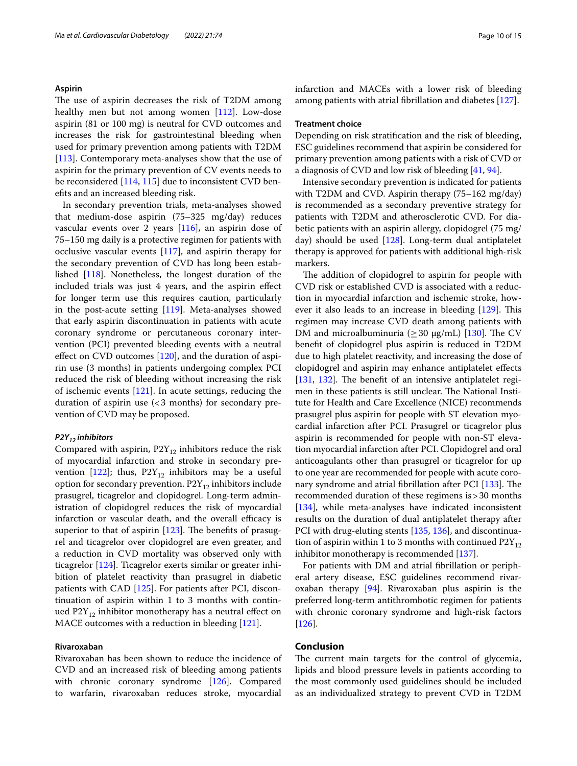# **Aspirin**

The use of aspirin decreases the risk of T2DM among healthy men but not among women [\[112\]](#page-13-25). Low-dose aspirin (81 or 100 mg) is neutral for CVD outcomes and increases the risk for gastrointestinal bleeding when used for primary prevention among patients with T2DM [[113\]](#page-13-26). Contemporary meta-analyses show that the use of aspirin for the primary prevention of CV events needs to be reconsidered [[114](#page-13-27), [115\]](#page-13-28) due to inconsistent CVD benefts and an increased bleeding risk.

In secondary prevention trials, meta-analyses showed that medium-dose aspirin (75–325 mg/day) reduces vascular events over 2 years [[116\]](#page-13-29), an aspirin dose of 75–150 mg daily is a protective regimen for patients with occlusive vascular events  $[117]$  $[117]$ , and aspirin therapy for the secondary prevention of CVD has long been established [\[118\]](#page-13-31). Nonetheless, the longest duration of the included trials was just 4 years, and the aspirin efect for longer term use this requires caution, particularly in the post-acute setting [[119\]](#page-13-32). Meta-analyses showed that early aspirin discontinuation in patients with acute coronary syndrome or percutaneous coronary intervention (PCI) prevented bleeding events with a neutral efect on CVD outcomes [\[120\]](#page-13-33), and the duration of aspirin use (3 months) in patients undergoing complex PCI reduced the risk of bleeding without increasing the risk of ischemic events [\[121\]](#page-13-34). In acute settings, reducing the duration of aspirin use  $\left( < 3 \right)$  months) for secondary prevention of CVD may be proposed.

# *P2Y12 inhibitors*

Compared with aspirin,  $P2Y_{12}$  inhibitors reduce the risk of myocardial infarction and stroke in secondary pre-vention [[122\]](#page-14-0); thus,  $P2Y_{12}$  inhibitors may be a useful option for secondary prevention.  $P2Y_{12}$  inhibitors include prasugrel, ticagrelor and clopidogrel. Long-term administration of clopidogrel reduces the risk of myocardial infarction or vascular death, and the overall efficacy is superior to that of aspirin  $[123]$  $[123]$ . The benefits of prasugrel and ticagrelor over clopidogrel are even greater, and a reduction in CVD mortality was observed only with ticagrelor [[124\]](#page-14-2). Ticagrelor exerts similar or greater inhibition of platelet reactivity than prasugrel in diabetic patients with CAD [\[125\]](#page-14-3). For patients after PCI, discontinuation of aspirin within 1 to 3 months with continued  $P2Y_{12}$  inhibitor monotherapy has a neutral effect on MACE outcomes with a reduction in bleeding [\[121\]](#page-13-34).

# **Rivaroxaban**

Rivaroxaban has been shown to reduce the incidence of CVD and an increased risk of bleeding among patients with chronic coronary syndrome [[126\]](#page-14-4). Compared to warfarin, rivaroxaban reduces stroke, myocardial infarction and MACEs with a lower risk of bleeding among patients with atrial fbrillation and diabetes [[127\]](#page-14-5).

## **Treatment choice**

Depending on risk stratifcation and the risk of bleeding, ESC guidelines recommend that aspirin be considered for primary prevention among patients with a risk of CVD or a diagnosis of CVD and low risk of bleeding [[41](#page-11-22), [94\]](#page-13-8).

Intensive secondary prevention is indicated for patients with T2DM and CVD. Aspirin therapy (75–162 mg/day) is recommended as a secondary preventive strategy for patients with T2DM and atherosclerotic CVD. For diabetic patients with an aspirin allergy, clopidogrel (75 mg/ day) should be used [\[128\]](#page-14-6). Long-term dual antiplatelet therapy is approved for patients with additional high-risk markers.

The addition of clopidogrel to aspirin for people with CVD risk or established CVD is associated with a reduction in myocardial infarction and ischemic stroke, however it also leads to an increase in bleeding  $[129]$ . This regimen may increase CVD death among patients with DM and microalbuminuria ( $\geq$  30 μg/mL) [\[130](#page-14-8)]. The CV beneft of clopidogrel plus aspirin is reduced in T2DM due to high platelet reactivity, and increasing the dose of clopidogrel and aspirin may enhance antiplatelet efects  $[131, 132]$  $[131, 132]$  $[131, 132]$  $[131, 132]$  $[131, 132]$ . The benefit of an intensive antiplatelet regimen in these patients is still unclear. The National Institute for Health and Care Excellence (NICE) recommends prasugrel plus aspirin for people with ST elevation myocardial infarction after PCI. Prasugrel or ticagrelor plus aspirin is recommended for people with non-ST elevation myocardial infarction after PCI. Clopidogrel and oral anticoagulants other than prasugrel or ticagrelor for up to one year are recommended for people with acute coro-nary syndrome and atrial fibrillation after PCI [\[133](#page-14-11)]. The recommended duration of these regimens is>30 months [[134\]](#page-14-12), while meta-analyses have indicated inconsistent results on the duration of dual antiplatelet therapy after PCI with drug-eluting stents [\[135](#page-14-13), [136\]](#page-14-14), and discontinuation of aspirin within 1 to 3 months with continued  $P2Y_{12}$ inhibitor monotherapy is recommended [[137\]](#page-14-15).

For patients with DM and atrial fbrillation or peripheral artery disease, ESC guidelines recommend rivaroxaban therapy [\[94](#page-13-8)]. Rivaroxaban plus aspirin is the preferred long-term antithrombotic regimen for patients with chronic coronary syndrome and high-risk factors [[126\]](#page-14-4).

# **Conclusion**

The current main targets for the control of glycemia, lipids and blood pressure levels in patients according to the most commonly used guidelines should be included as an individualized strategy to prevent CVD in T2DM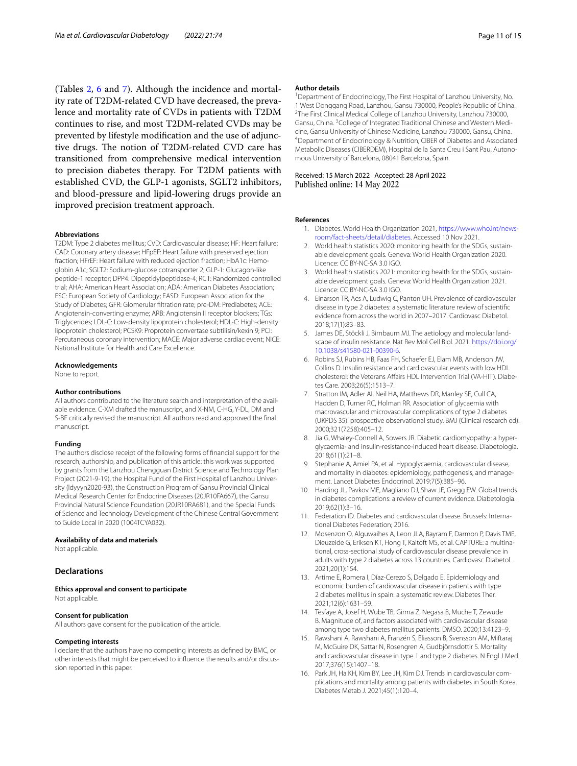(Tables [2](#page-3-0), [6](#page-7-0) and [7](#page-8-0)). Although the incidence and mortality rate of T2DM-related CVD have decreased, the prevalence and mortality rate of CVDs in patients with T2DM continues to rise, and most T2DM-related CVDs may be prevented by lifestyle modifcation and the use of adjunctive drugs. The notion of T2DM-related CVD care has transitioned from comprehensive medical intervention to precision diabetes therapy. For T2DM patients with established CVD, the GLP-1 agonists, SGLT2 inhibitors, and blood-pressure and lipid-lowering drugs provide an improved precision treatment approach.

#### **Abbreviations**

T2DM: Type 2 diabetes mellitus; CVD: Cardiovascular disease; HF: Heart failure; CAD: Coronary artery disease; HFpEF: Heart failure with preserved ejection fraction; HFrEF: Heart failure with reduced ejection fraction; HbA1c: Hemoglobin A1c; SGLT2: Sodium-glucose cotransporter 2; GLP-1: Glucagon-like peptide-1 receptor; DPP4: Dipeptidylpeptidase-4; RCT: Randomized controlled trial; AHA: American Heart Association; ADA: American Diabetes Association; ESC: European Society of Cardiology; EASD: European Association for the Study of Diabetes; GFR: Glomerular fltration rate; pre-DM: Prediabetes; ACE: Angiotensin-converting enzyme; ARB: Angiotensin II receptor blockers; TGs: Triglycerides; LDL-C: Low-density lipoprotein cholesterol; HDL-C: High-density lipoprotein cholesterol; PCSK9: Proprotein convertase subtilisin/kexin 9; PCI: Percutaneous coronary intervention; MACE: Major adverse cardiac event; NICE: National Institute for Health and Care Excellence.

#### **Acknowledgements**

None to report.

#### **Author contributions**

All authors contributed to the literature search and interpretation of the available evidence. C-XM drafted the manuscript, and X-NM, C-HG, Y-DL, DM and S-BF critically revised the manuscript. All authors read and approved the fnal manuscript.

## **Funding**

The authors disclose receipt of the following forms of fnancial support for the research, authorship, and publication of this article: this work was supported by grants from the Lanzhou Chengguan District Science and Technology Plan Project (2021-9-19), the Hospital Fund of the First Hospital of Lanzhou University (ldyyyn2020-93), the Construction Program of Gansu Provincial Clinical Medical Research Center for Endocrine Diseases (20JR10FA667), the Gansu Provincial Natural Science Foundation (20JR10RA681), and the Special Funds of Science and Technology Development of the Chinese Central Government to Guide Local in 2020 (1004TCYA032).

### **Availability of data and materials**

Not applicable.

# **Declarations**

# **Ethics approval and consent to participate**

Not applicable.

# **Consent for publication**

All authors gave consent for the publication of the article.

#### **Competing interests**

I declare that the authors have no competing interests as defned by BMC, or other interests that might be perceived to influence the results and/or discussion reported in this paper.

#### **Author details**

<sup>1</sup> Department of Endocrinology, The First Hospital of Lanzhou University, No. 1 West Donggang Road, Lanzhou, Gansu 730000, People's Republic of China. 2 <sup>2</sup>The First Clinical Medical College of Lanzhou University, Lanzhou 730000, Gansu, China. <sup>3</sup> College of Integrated Traditional Chinese and Western Medicine, Gansu University of Chinese Medicine, Lanzhou 730000, Gansu, China. 4 Department of Endocrinology & Nutrition, CIBER of Diabetes and Associated Metabolic Diseases (CIBERDEM), Hospital de la Santa Creu i Sant Pau, Autonomous University of Barcelona, 08041 Barcelona, Spain.

# Received: 15 March 2022 Accepted: 28 April 2022

#### <span id="page-10-0"></span>**References**

- 1. Diabetes. World Health Organization 2021, [https://www.who.int/news](https://www.who.int/news-room/fact-sheets/detail/diabetes) [room/fact-sheets/detail/diabetes.](https://www.who.int/news-room/fact-sheets/detail/diabetes) Accessed 10 Nov 2021.
- <span id="page-10-1"></span>2. World health statistics 2020: monitoring health for the SDGs, sustainable development goals. Geneva: World Health Organization 2020. Licence: CC BY-NC-SA 3.0 IGO.
- <span id="page-10-2"></span>3. World health statistics 2021: monitoring health for the SDGs, sustainable development goals. Geneva: World Health Organization 2021. Licence: CC BY-NC-SA 3.0 IGO.
- <span id="page-10-3"></span>4. Einarson TR, Acs A, Ludwig C, Panton UH. Prevalence of cardiovascular disease in type 2 diabetes: a systematic literature review of scientifc evidence from across the world in 2007–2017. Cardiovasc Diabetol. 2018;17(1):83–83.
- <span id="page-10-4"></span>5. James DE, Stöckli J, Birnbaum MJ. The aetiology and molecular landscape of insulin resistance. Nat Rev Mol Cell Biol. 2021. [https://doi.org/](https://doi.org/10.1038/s41580-021-00390-6) [10.1038/s41580-021-00390-6.](https://doi.org/10.1038/s41580-021-00390-6)
- <span id="page-10-5"></span>6. Robins SJ, Rubins HB, Faas FH, Schaefer EJ, Elam MB, Anderson JW, Collins D. Insulin resistance and cardiovascular events with low HDL cholesterol: the Veterans Affairs HDL Intervention Trial (VA-HIT). Diabetes Care. 2003;26(5):1513–7.
- <span id="page-10-6"></span>7. Stratton IM, Adler AI, Neil HA, Matthews DR, Manley SE, Cull CA, Hadden D, Turner RC, Holman RR. Association of glycaemia with macrovascular and microvascular complications of type 2 diabetes (UKPDS 35): prospective observational study. BMJ (Clinical research ed). 2000;321(7258):405–12.
- <span id="page-10-7"></span>8. Jia G, Whaley-Connell A, Sowers JR. Diabetic cardiomyopathy: a hyperglycaemia- and insulin-resistance-induced heart disease. Diabetologia. 2018;61(1):21–8.
- <span id="page-10-8"></span>9. Stephanie A, Amiel PA, et al. Hypoglycaemia, cardiovascular disease, and mortality in diabetes: epidemiology, pathogenesis, and management. Lancet Diabetes Endocrinol. 2019;7(5):385–96.
- <span id="page-10-9"></span>10. Harding JL, Pavkov ME, Magliano DJ, Shaw JE, Gregg EW. Global trends in diabetes complications: a review of current evidence. Diabetologia. 2019;62(1):3–16.
- <span id="page-10-10"></span>11. Federation ID. Diabetes and cardiovascular disease. Brussels: International Diabetes Federation; 2016.
- <span id="page-10-11"></span>12. Mosenzon O, Alguwaihes A, Leon JLA, Bayram F, Darmon P, Davis TME, Dieuzeide G, Eriksen KT, Hong T, Kaltoft MS, et al. CAPTURE: a multinational, cross-sectional study of cardiovascular disease prevalence in adults with type 2 diabetes across 13 countries. Cardiovasc Diabetol. 2021;20(1):154.
- <span id="page-10-12"></span>13. Artime E, Romera I, Díaz-Cerezo S, Delgado E. Epidemiology and economic burden of cardiovascular disease in patients with type 2 diabetes mellitus in spain: a systematic review. Diabetes Ther. 2021;12(6):1631–59.
- <span id="page-10-13"></span>14. Tesfaye A, Josef H, Wube TB, Girma Z, Negasa B, Muche T, Zewude B. Magnitude of, and factors associated with cardiovascular disease among type two diabetes mellitus patients. DMSO. 2020;13:4123–9.
- <span id="page-10-14"></span>15. Rawshani A, Rawshani A, Franzén S, Eliasson B, Svensson AM, Miftaraj M, McGuire DK, Sattar N, Rosengren A, Gudbjörnsdottir S. Mortality and cardiovascular disease in type 1 and type 2 diabetes. N Engl J Med. 2017;376(15):1407–18.
- <span id="page-10-15"></span>16. Park JH, Ha KH, Kim BY, Lee JH, Kim DJ. Trends in cardiovascular complications and mortality among patients with diabetes in South Korea. Diabetes Metab J. 2021;45(1):120–4.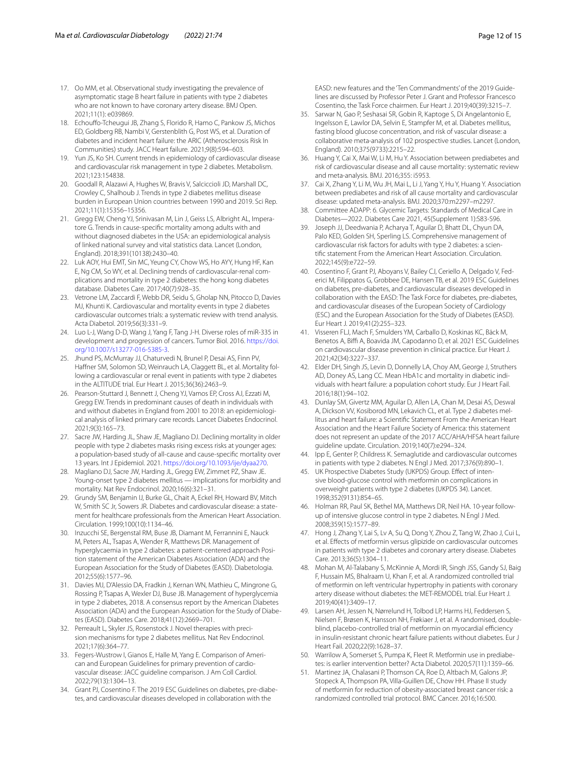- <span id="page-11-0"></span>17. Oo MM, et al. Observational study investigating the prevalence of asymptomatic stage B heart failure in patients with type 2 diabetes who are not known to have coronary artery disease. BMJ Open. 2021;11(1): e039869.
- <span id="page-11-1"></span>18. Echouffo-Tcheugui JB, Zhang S, Florido R, Hamo C, Pankow JS, Michos ED, Goldberg RB, Nambi V, Gerstenblith G, Post WS, et al. Duration of diabetes and incident heart failure: the ARIC (Atherosclerosis Risk In Communities) study. JACC Heart failure. 2021;9(8):594–603.
- <span id="page-11-2"></span>19. Yun JS, Ko SH. Current trends in epidemiology of cardiovascular disease and cardiovascular risk management in type 2 diabetes. Metabolism. 2021;123:154838.
- <span id="page-11-3"></span>20. Goodall R, Alazawi A, Hughes W, Bravis V, Salciccioli JD, Marshall DC, Crowley C, Shalhoub J. Trends in type 2 diabetes mellitus disease burden in European Union countries between 1990 and 2019. Sci Rep. 2021;11(1):15356–15356.
- <span id="page-11-4"></span>21. Gregg EW, Cheng YJ, Srinivasan M, Lin J, Geiss LS, Albright AL, Imperatore G. Trends in cause-specifc mortality among adults with and without diagnosed diabetes in the USA: an epidemiological analysis of linked national survey and vital statistics data. Lancet (London, England). 2018;391(10138):2430–40.
- <span id="page-11-5"></span>22. Luk AOY, Hui EMT, Sin MC, Yeung CY, Chow WS, Ho AYY, Hung HF, Kan E, Ng CM, So WY, et al. Declining trends of cardiovascular-renal complications and mortality in type 2 diabetes: the hong kong diabetes database. Diabetes Care. 2017;40(7):928–35.
- <span id="page-11-6"></span>23. Vetrone LM, Zaccardi F, Webb DR, Seidu S, Gholap NN, Pitocco D, Davies MJ, Khunti K. Cardiovascular and mortality events in type 2 diabetes cardiovascular outcomes trials: a systematic review with trend analysis. Acta Diabetol. 2019;56(3):331–9.
- <span id="page-11-7"></span>24. Luo L-J, Wang D-D, Wang J, Yang F, Tang J-H. Diverse roles of miR-335 in development and progression of cancers. Tumor Biol. 2016. [https://doi.](https://doi.org/10.1007/s13277-016-5385-3) [org/10.1007/s13277-016-5385-3](https://doi.org/10.1007/s13277-016-5385-3).
- <span id="page-11-8"></span>25. Jhund PS, McMurray JJ, Chaturvedi N, Brunel P, Desai AS, Finn PV, Haffner SM, Solomon SD, Weinrauch LA, Claggett BL, et al. Mortality following a cardiovascular or renal event in patients with type 2 diabetes in the ALTITUDE trial. Eur Heart J. 2015;36(36):2463–9.
- <span id="page-11-9"></span>26. Pearson-Stuttard J, Bennett J, Cheng YJ, Vamos EP, Cross AJ, Ezzati M, Gregg EW. Trends in predominant causes of death in individuals with and without diabetes in England from 2001 to 2018: an epidemiological analysis of linked primary care records. Lancet Diabetes Endocrinol. 2021;9(3):165–73.
- <span id="page-11-10"></span>27. Sacre JW, Harding JL, Shaw JE, Magliano DJ. Declining mortality in older people with type 2 diabetes masks rising excess risks at younger ages: a population-based study of all-cause and cause-specifc mortality over 13 years. Int J Epidemiol. 2021. <https://doi.org/10.1093/ije/dyaa270>.
- <span id="page-11-11"></span>28. Magliano DJ, Sacre JW, Harding JL, Gregg EW, Zimmet PZ, Shaw JE. Young-onset type 2 diabetes mellitus — implications for morbidity and mortality. Nat Rev Endocrinol. 2020;16(6):321–31.
- <span id="page-11-12"></span>29. Grundy SM, Benjamin IJ, Burke GL, Chait A, Eckel RH, Howard BV, Mitch W, Smith SC Jr, Sowers JR. Diabetes and cardiovascular disease: a statement for healthcare professionals from the American Heart Association. Circulation. 1999;100(10):1134–46.
- <span id="page-11-13"></span>30. Inzucchi SE, Bergenstal RM, Buse JB, Diamant M, Ferrannini E, Nauck M, Peters AL, Tsapas A, Wender R, Matthews DR. Management of hyperglycaemia in type 2 diabetes: a patient-centered approach Position statement of the American Diabetes Association (ADA) and the European Association for the Study of Diabetes (EASD). Diabetologia. 2012;55(6):1577–96.
- <span id="page-11-14"></span>31. Davies MJ, D'Alessio DA, Fradkin J, Kernan WN, Mathieu C, Mingrone G, Rossing P, Tsapas A, Wexler DJ, Buse JB. Management of hyperglycemia in type 2 diabetes, 2018. A consensus report by the American Diabetes Association (ADA) and the European Association for the Study of Diabetes (EASD). Diabetes Care. 2018;41(12):2669–701.
- <span id="page-11-15"></span>32. Perreault L, Skyler JS, Rosenstock J. Novel therapies with precision mechanisms for type 2 diabetes mellitus. Nat Rev Endocrinol. 2021;17(6):364–77.
- <span id="page-11-16"></span>33. Fegers-Wustrow I, Gianos E, Halle M, Yang E. Comparison of American and European Guidelines for primary prevention of cardiovascular disease: JACC guideline comparison. J Am Coll Cardiol. 2022;79(13):1304–13.
- <span id="page-11-17"></span>34. Grant PJ, Cosentino F. The 2019 ESC Guidelines on diabetes, pre-diabetes, and cardiovascular diseases developed in collaboration with the

EASD: new features and the 'Ten Commandments' of the 2019 Guide‑ lines are discussed by Professor Peter J. Grant and Professor Francesco Cosentino, the Task Force chairmen. Eur Heart J. 2019;40(39):3215–7.

- <span id="page-11-18"></span>35. Sarwar N, Gao P, Seshasai SR, Gobin R, Kaptoge S, Di Angelantonio E, Ingelsson E, Lawlor DA, Selvin E, Stampfer M, et al. Diabetes mellitus, fasting blood glucose concentration, and risk of vascular disease: a collaborative meta-analysis of 102 prospective studies. Lancet (London, England). 2010;375(9733):2215–22.
- <span id="page-11-19"></span>36. Huang Y, Cai X, Mai W, Li M, Hu Y. Association between prediabetes and risk of cardiovascular disease and all cause mortality: systematic review and meta-analysis. BMJ. 2016;355: i5953.
- <span id="page-11-20"></span>37. Cai X, Zhang Y, Li M, Wu JH, Mai L, Li J, Yang Y, Hu Y, Huang Y. Association between prediabetes and risk of all cause mortality and cardiovascular disease: updated meta-analysis. BMJ. 2020;370:m2297–m2297.
- <span id="page-11-21"></span>38. Committee ADAPP: 6. Glycemic Targets: Standards of Medical Care in Diabetes—2022. Diabetes Care 2021, 45(Supplement 1):S83-S96.
- <span id="page-11-33"></span>39. Joseph JJ, Deedwania P, Acharya T, Aguilar D, Bhatt DL, Chyun DA, Palo KED, Golden SH, Sperling LS. Comprehensive management of cardiovascular risk factors for adults with type 2 diabetes: a scientifc statement From the American Heart Association. Circulation. 2022;145(9):e722–59.
- <span id="page-11-34"></span>40. Cosentino F, Grant PJ, Aboyans V, Bailey CJ, Ceriello A, Delgado V, Federici M, Filippatos G, Grobbee DE, Hansen TB, et al. 2019 ESC Guidelines on diabetes, pre-diabetes, and cardiovascular diseases developed in collaboration with the EASD: The Task Force for diabetes, pre-diabetes, and cardiovascular diseases of the European Society of Cardiology (ESC) and the European Association for the Study of Diabetes (EASD). Eur Heart J. 2019;41(2):255–323.
- <span id="page-11-22"></span>41. Visseren FLJ, Mach F, Smulders YM, Carballo D, Koskinas KC, Bäck M, Benetos A, Biffi A, Boavida JM, Capodanno D, et al. 2021 ESC Guidelines on cardiovascular disease prevention in clinical practice. Eur Heart J. 2021;42(34):3227–337.
- <span id="page-11-23"></span>42. Elder DH, Singh JS, Levin D, Donnelly LA, Choy AM, George J, Struthers AD, Doney AS, Lang CC. Mean HbA1c and mortality in diabetic individuals with heart failure: a population cohort study. Eur J Heart Fail. 2016;18(1):94–102.
- <span id="page-11-24"></span>43. Dunlay SM, Givertz MM, Aguilar D, Allen LA, Chan M, Desai AS, Deswal A, Dickson W, Kosiborod MN, Lekavich CL, et al. Type 2 diabetes mellitus and heart failure: a Scientifc Statement From the American Heart Association and the Heart Failure Society of America: this statement does not represent an update of the 2017 ACC/AHA/HFSA heart failure guideline update. Circulation. 2019;140(7):e294–324.
- <span id="page-11-25"></span>Ipp E, Genter P, Childress K. Semaglutide and cardiovascular outcomes in patients with type 2 diabetes. N Engl J Med. 2017;376(9):890–1.
- <span id="page-11-26"></span>45. UK Prospective Diabetes Study (UKPDS) Group. Effect of intensive blood-glucose control with metformin on complications in overweight patients with type 2 diabetes (UKPDS 34). Lancet. 1998;352(9131):854–65.
- <span id="page-11-27"></span>46. Holman RR, Paul SK, Bethel MA, Matthews DR, Neil HA. 10-year followup of intensive glucose control in type 2 diabetes. N Engl J Med. 2008;359(15):1577–89.
- <span id="page-11-28"></span>47. Hong J, Zhang Y, Lai S, Lv A, Su Q, Dong Y, Zhou Z, Tang W, Zhao J, Cui L, et al. Efects of metformin versus glipizide on cardiovascular outcomes in patients with type 2 diabetes and coronary artery disease. Diabetes Care. 2013;36(5):1304–11.
- <span id="page-11-29"></span>48. Mohan M, Al-Talabany S, McKinnie A, Mordi IR, Singh JSS, Gandy SJ, Baig F, Hussain MS, Bhalraam U, Khan F, et al. A randomized controlled trial of metformin on left ventricular hypertrophy in patients with coronary artery disease without diabetes: the MET-REMODEL trial. Eur Heart J. 2019;40(41):3409–17.
- <span id="page-11-30"></span>49. Larsen AH, Jessen N, Nørrelund H, Tolbod LP, Harms HJ, Feddersen S, Nielsen F, Brøsen K, Hansson NH, Frøkiaer J, et al. A randomised, doubleblind, placebo-controlled trial of metformin on myocardial efficiency in insulin-resistant chronic heart failure patients without diabetes. Eur J Heart Fail. 2020;22(9):1628–37.
- <span id="page-11-31"></span>50. Warrilow A, Somerset S, Pumpa K, Fleet R. Metformin use in prediabetes: is earlier intervention better? Acta Diabetol. 2020;57(11):1359–66.
- <span id="page-11-32"></span>51. Martinez JA, Chalasani P, Thomson CA, Roe D, Altbach M, Galons JP, Stopeck A, Thompson PA, Villa-Guillen DE, Chow HH. Phase II study of metformin for reduction of obesity-associated breast cancer risk: a randomized controlled trial protocol. BMC Cancer. 2016;16:500.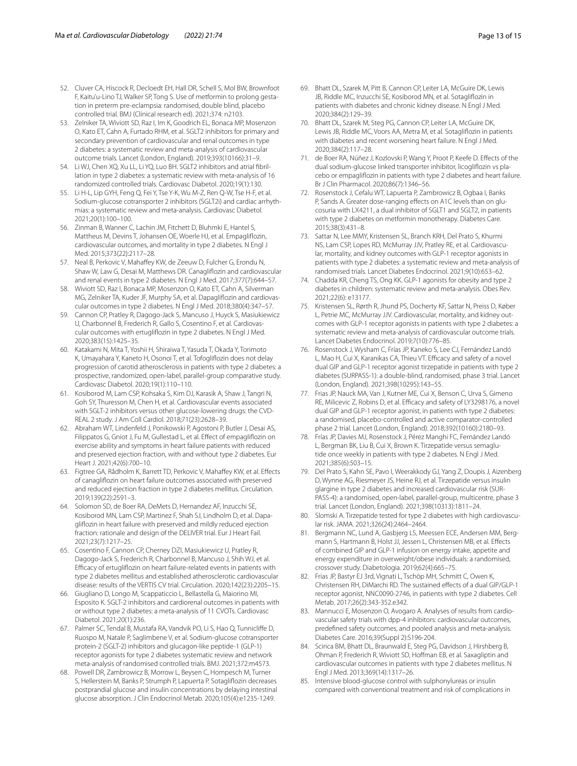- <span id="page-12-0"></span>52. Cluver CA, Hiscock R, Decloedt EH, Hall DR, Schell S, Mol BW, Brownfoot F, Kaitu'u-Lino TJ, Walker SP, Tong S. Use of metformin to prolong gestation in preterm pre-eclampsia: randomised, double blind, placebo controlled trial. BMJ (Clinical research ed). 2021;374: n2103.
- <span id="page-12-1"></span>53. Zelniker TA, Wiviott SD, Raz I, Im K, Goodrich EL, Bonaca MP, Mosenzon O, Kato ET, Cahn A, Furtado RHM, et al. SGLT2 inhibitors for primary and secondary prevention of cardiovascular and renal outcomes in type 2 diabetes: a systematic review and meta-analysis of cardiovascular outcome trials. Lancet (London, England). 2019;393(10166):31–9.
- <span id="page-12-2"></span>54. Li WJ, Chen XQ, Xu LL, Li YQ, Luo BH. SGLT2 inhibitors and atrial fibrillation in type 2 diabetes: a systematic review with meta-analysis of 16 randomized controlled trials. Cardiovasc Diabetol. 2020;19(1):130.
- <span id="page-12-3"></span>55. Li H-L, Lip GYH, Feng Q, Fei Y, Tse Y-K, Wu M-Z, Ren Q-W, Tse H-F, et al. Sodium-glucose cotransporter 2 inhibitors (SGLT2i) and cardiac arrhythmias: a systematic review and meta-analysis. Cardiovasc Diabetol. 2021;20(1):100–100.
- <span id="page-12-4"></span>56. Zinman B, Wanner C, Lachin JM, Fitchett D, Bluhmki E, Hantel S, Mattheus M, Devins T, Johansen OE, Woerle HJ, et al. Empaglifozin, cardiovascular outcomes, and mortality in type 2 diabetes. N Engl J Med. 2015;373(22):2117–28.
- <span id="page-12-5"></span>57. Neal B, Perkovic V, Mahaffey KW, de Zeeuw D, Fulcher G, Erondu N, Shaw W, Law G, Desai M, Matthews DR. Canaglifozin and cardiovascular and renal events in type 2 diabetes. N Engl J Med. 2017;377(7):644–57.
- <span id="page-12-6"></span>58. Wiviott SD, Raz I, Bonaca MP, Mosenzon O, Kato ET, Cahn A, Silverman MG, Zelniker TA, Kuder JF, Murphy SA, et al. Dapagliflozin and cardiovascular outcomes in type 2 diabetes. N Engl J Med. 2018;380(4):347–57.
- <span id="page-12-7"></span>59. Cannon CP, Pratley R, Dagogo-Jack S, Mancuso J, Huyck S, Masiukiewicz U, Charbonnel B, Frederich R, Gallo S, Cosentino F, et al. Cardiovascular outcomes with ertuglifozin in type 2 diabetes. N Engl J Med. 2020;383(15):1425–35.
- <span id="page-12-8"></span>60. Katakami N, Mita T, Yoshii H, Shiraiwa T, Yasuda T, Okada Y, Torimoto K, Umayahara Y, Kaneto H, Osonoi T, et al. Tofoglifozin does not delay progression of carotid atherosclerosis in patients with type 2 diabetes: a prospective, randomized, open-label, parallel-group comparative study. Cardiovasc Diabetol. 2020;19(1):110–110.
- <span id="page-12-9"></span>61. Kosiborod M, Lam CSP, Kohsaka S, Kim DJ, Karasik A, Shaw J, Tangri N, Goh SY, Thuresson M, Chen H, et al. Cardiovascular events associated with SGLT-2 inhibitors versus other glucose-lowering drugs: the CVD-REAL 2 study. J Am Coll Cardiol. 2018;71(23):2628–39.
- <span id="page-12-10"></span>62. Abraham WT, Lindenfeld J, Ponikowski P, Agostoni P, Butler J, Desai AS, Filippatos G, Gniot J, Fu M, Gullestad L, et al. Efect of empaglifozin on exercise ability and symptoms in heart failure patients with reduced and preserved ejection fraction, with and without type 2 diabetes. Eur Heart J. 2021;42(6):700–10.
- <span id="page-12-11"></span>63. Figtree GA, Rådholm K, Barrett TD, Perkovic V, Mahafey KW, et al. Efects of canaglifozin on heart failure outcomes associated with preserved and reduced ejection fraction in type 2 diabetes mellitus. Circulation. 2019;139(22):2591–3.
- <span id="page-12-12"></span>64. Solomon SD, de Boer RA, DeMets D, Hernandez AF, Inzucchi SE, Kosiborod MN, Lam CSP, Martinez F, Shah SJ, Lindholm D, et al. Dapaglifozin in heart failure with preserved and mildly reduced ejection fraction: rationale and design of the DELIVER trial. Eur J Heart Fail. 2021;23(7):1217–25.
- <span id="page-12-13"></span>65. Cosentino F, Cannon CP, Cherney DZI, Masiukiewicz U, Pratley R, Dagogo-Jack S, Frederich R, Charbonnel B, Mancuso J, Shih WJ, et al. Efficacy of ertugliflozin on heart failure-related events in patients with type 2 diabetes mellitus and established atherosclerotic cardiovascular disease: results of the VERTIS CV trial. Circulation. 2020;142(23):2205–15.
- <span id="page-12-14"></span>66. Giugliano D, Longo M, Scappaticcio L, Bellastella G, Maiorino MI, Esposito K. SGLT-2 inhibitors and cardiorenal outcomes in patients with or without type 2 diabetes: a meta-analysis of 11 CVOTs. Cardiovasc Diabetol. 2021;20(1):236.
- <span id="page-12-15"></span>67. Palmer SC, Tendal B, Mustafa RA, Vandvik PO, Li S, Hao Q, Tunniclife D, Ruospo M, Natale P, Saglimbene V, et al. Sodium-glucose cotransporter protein-2 (SGLT-2) inhibitors and glucagon-like peptide-1 (GLP-1) receptor agonists for type 2 diabetes systematic review and network meta-analysis of randomised controlled trials. BMJ. 2021;372:m4573.
- <span id="page-12-16"></span>68. Powell DR, Zambrowicz B, Morrow L, Beysen C, Hompesch M, Turner S, Hellerstein M, Banks P, Strumph P, Lapuerta P. Sotaglifozin decreases postprandial glucose and insulin concentrations by delaying intestinal glucose absorption. J Clin Endocrinol Metab. 2020;105(4):e1235-1249.
- <span id="page-12-17"></span>69. Bhatt DL, Szarek M, Pitt B, Cannon CP, Leiter LA, McGuire DK, Lewis JB, Riddle MC, Inzucchi SE, Kosiborod MN, et al. Sotaglifozin in patients with diabetes and chronic kidney disease. N Engl J Med. 2020;384(2):129–39.
- <span id="page-12-18"></span>70. Bhatt DL, Szarek M, Steg PG, Cannon CP, Leiter LA, McGuire DK, Lewis JB, Riddle MC, Voors AA, Metra M, et al. Sotaglifozin in patients with diabetes and recent worsening heart failure. N Engl J Med. 2020;384(2):117–28.
- <span id="page-12-19"></span>71. de Boer RA, Núñez J, Kozlovski P, Wang Y, Proot P, Keefe D. Efects of the dual sodium-glucose linked transporter inhibitor, licogliflozin vs placebo or empaglifozin in patients with type 2 diabetes and heart failure. Br J Clin Pharmacol. 2020;86(7):1346–56.
- <span id="page-12-20"></span>72. Rosenstock J, Cefalu WT, Lapuerta P, Zambrowicz B, Ogbaa I, Banks P, Sands A. Greater dose-ranging effects on A1C levels than on glucosuria with LX4211, a dual inhibitor of SGLT1 and SGLT2, in patients with type 2 diabetes on metformin monotherapy. Diabetes Care. 2015;38(3):431–8.
- <span id="page-12-21"></span>73. Sattar N, Lee MMY, Kristensen SL, Branch KRH, Del Prato S, Khurmi NS, Lam CSP, Lopes RD, McMurray JJV, Pratley RE, et al. Cardiovascular, mortality, and kidney outcomes with GLP-1 receptor agonists in patients with type 2 diabetes: a systematic review and meta-analysis of randomised trials. Lancet Diabetes Endocrinol. 2021;9(10):653–62.
- <span id="page-12-22"></span>74. Chadda KR, Cheng TS, Ong KK. GLP-1 agonists for obesity and type 2 diabetes in children: systematic review and meta-analysis. Obes Rev. 2021;22(6): e13177.
- <span id="page-12-23"></span>75. Kristensen SL, Rørth R, Jhund PS, Docherty KF, Sattar N, Preiss D, Køber L, Petrie MC, McMurray JJV. Cardiovascular, mortality, and kidney outcomes with GLP-1 receptor agonists in patients with type 2 diabetes: a systematic review and meta-analysis of cardiovascular outcome trials. Lancet Diabetes Endocrinol. 2019;7(10):776–85.
- <span id="page-12-24"></span>76. Rosenstock J, Wysham C, Frías JP, Kaneko S, Lee CJ, Fernández Landó L, Mao H, Cui X, Karanikas CA, Thieu VT. Efficacy and safety of a novel dual GIP and GLP-1 receptor agonist tirzepatide in patients with type 2 diabetes (SURPASS-1): a double-blind, randomised, phase 3 trial. Lancet (London, England). 2021;398(10295):143–55.
- <span id="page-12-25"></span>77. Frias JP, Nauck MA, Van J, Kutner ME, Cui X, Benson C, Urva S, Gimeno RE, Milicevic Z, Robins D, et al. Efficacy and safety of LY3298176, a novel dual GIP and GLP-1 receptor agonist, in patients with type 2 diabetes: a randomised, placebo-controlled and active comparator-controlled phase 2 trial. Lancet (London, England). 2018;392(10160):2180–93.
- <span id="page-12-26"></span>78. Frías JP, Davies MJ, Rosenstock J, Pérez Manghi FC, Fernández Landó L, Bergman BK, Liu B, Cui X, Brown K. Tirzepatide versus semaglutide once weekly in patients with type 2 diabetes. N Engl J Med. 2021;385(6):503–15.
- <span id="page-12-27"></span>79. Del Prato S, Kahn SE, Pavo I, Weerakkody GJ, Yang Z, Doupis J, Aizenberg D, Wynne AG, Riesmeyer JS, Heine RJ, et al. Tirzepatide versus insulin glargine in type 2 diabetes and increased cardiovascular risk (SUR-PASS-4): a randomised, open-label, parallel-group, multicentre, phase 3 trial. Lancet (London, England). 2021;398(10313):1811–24.
- <span id="page-12-28"></span>Slomski A. Tirzepatide tested for type 2 diabetes with high cardiovascular risk. JAMA. 2021;326(24):2464–2464.
- <span id="page-12-29"></span>81. Bergmann NC, Lund A, Gasbjerg LS, Meessen ECE, Andersen MM, Bergmann S, Hartmann B, Holst JJ, Jessen L, Christensen MB, et al. Efects of combined GIP and GLP-1 infusion on energy intake, appetite and energy expenditure in overweight/obese individuals: a randomised, crossover study. Diabetologia. 2019;62(4):665–75.
- <span id="page-12-30"></span>82. Frias JP, Bastyr EJ 3rd, Vignati L, Tschöp MH, Schmitt C, Owen K, Christensen RH, DiMarchi RD. The sustained efects of a dual GIP/GLP-1 receptor agonist, NNC0090-2746, in patients with type 2 diabetes. Cell Metab. 2017;26(2):343-352.e342.
- <span id="page-12-31"></span>83. Mannucci E, Mosenzon O, Avogaro A. Analyses of results from cardiovascular safety trials with dpp-4 inhibitors: cardiovascular outcomes, predefned safety outcomes, and pooled analysis and meta-analysis. Diabetes Care. 2016;39(Suppl 2):S196-204.
- <span id="page-12-32"></span>84. Scirica BM, Bhatt DL, Braunwald E, Steg PG, Davidson J, Hirshberg B, Ohman P, Frederich R, Wiviott SD, Hofman EB, et al. Saxagliptin and cardiovascular outcomes in patients with type 2 diabetes mellitus. N Engl J Med. 2013;369(14):1317–26.
- <span id="page-12-33"></span>85. Intensive blood-glucose control with sulphonylureas or insulin compared with conventional treatment and risk of complications in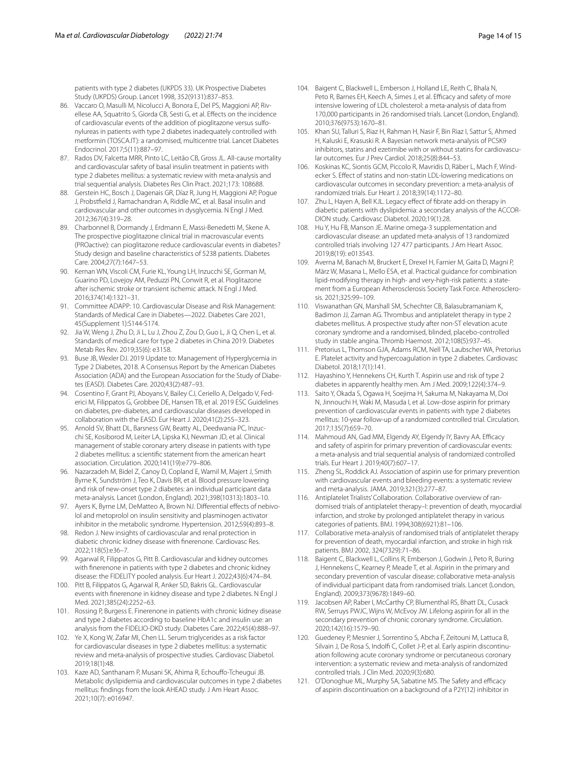patients with type 2 diabetes (UKPDS 33). UK Prospective Diabetes Study (UKPDS) Group. Lancet 1998, 352(9131):837–853.

- <span id="page-13-0"></span>86. Vaccaro O, Masulli M, Nicolucci A, Bonora E, Del PS, Maggioni AP, Rivellese AA, Squatrito S, Giorda CB, Sesti G, et al. Efects on the incidence of cardiovascular events of the addition of pioglitazone versus sulfonylureas in patients with type 2 diabetes inadequately controlled with metformin (TOSCA.IT): a randomised, multicentre trial. Lancet Diabetes Endocrinol. 2017;5(11):887–97.
- <span id="page-13-1"></span>87. Rados DV, Falcetta MRR, Pinto LC, Leitão CB, Gross JL. All-cause mortality and cardiovascular safety of basal insulin treatment in patients with type 2 diabetes mellitus: a systematic review with meta-analysis and trial sequential analysis. Diabetes Res Clin Pract. 2021;173: 108688.
- <span id="page-13-2"></span>88. Gerstein HC, Bosch J, Dagenais GR, Díaz R, Jung H, Maggioni AP, Pogue J, Probstfeld J, Ramachandran A, Riddle MC, et al. Basal insulin and cardiovascular and other outcomes in dysglycemia. N Engl J Med. 2012;367(4):319–28.
- <span id="page-13-3"></span>89. Charbonnel B, Dormandy J, Erdmann E, Massi-Benedetti M, Skene A. The prospective pioglitazone clinical trial in macrovascular events (PROactive): can pioglitazone reduce cardiovascular events in diabetes? Study design and baseline characteristics of 5238 patients. Diabetes Care. 2004;27(7):1647–53.
- <span id="page-13-4"></span>90. Kernan WN, Viscoli CM, Furie KL, Young LH, Inzucchi SE, Gorman M, Guarino PD, Lovejoy AM, Peduzzi PN, Conwit R, et al. Pioglitazone after ischemic stroke or transient ischemic attack. N Engl J Med. 2016;374(14):1321–31.
- <span id="page-13-5"></span>91. Committee ADAPP: 10. Cardiovascular Disease and Risk Management: Standards of Medical Care in Diabetes—2022. Diabetes Care 2021, 45(Supplement 1):S144-S174.
- <span id="page-13-6"></span>Jia W, Weng J, Zhu D, Ji L, Lu J, Zhou Z, Zou D, Guo L, Ji Q, Chen L, et al. Standards of medical care for type 2 diabetes in China 2019. Diabetes Metab Res Rev. 2019;35(6): e3158.
- <span id="page-13-7"></span>93. Buse JB, Wexler DJ. 2019 Update to: Management of Hyperglycemia in Type 2 Diabetes, 2018. A Consensus Report by the American Diabetes Association (ADA) and the European Association for the Study of Diabetes (EASD). Diabetes Care. 2020;43(2):487–93.
- <span id="page-13-8"></span>94. Cosentino F, Grant PJ, Aboyans V, Bailey CJ, Ceriello A, Delgado V, Federici M, Filippatos G, Grobbee DE, Hansen TB, et al. 2019 ESC Guidelines on diabetes, pre-diabetes, and cardiovascular diseases developed in collaboration with the EASD. Eur Heart J. 2020;41(2):255–323.
- <span id="page-13-9"></span>95. Arnold SV, Bhatt DL, Barsness GW, Beatty AL, Deedwania PC, Inzucchi SE, Kosiborod M, Leiter LA, Lipska KJ, Newman JD, et al. Clinical management of stable coronary artery disease in patients with type 2 diabetes mellitus: a scientifc statement from the american heart association. Circulation. 2020;141(19):e779–806.
- <span id="page-13-10"></span>96. Nazarzadeh M, Bidel Z, Canoy D, Copland E, Wamil M, Majert J, Smith Byrne K, Sundström J, Teo K, Davis BR, et al. Blood pressure lowering and risk of new-onset type 2 diabetes: an individual participant data meta-analysis. Lancet (London, England). 2021;398(10313):1803–10.
- <span id="page-13-11"></span>97. Ayers K, Byrne LM, DeMatteo A, Brown NJ. Differential effects of nebivolol and metoprolol on insulin sensitivity and plasminogen activator inhibitor in the metabolic syndrome. Hypertension. 2012;59(4):893–8.
- <span id="page-13-12"></span>98. Redon J. New insights of cardiovascular and renal protection in diabetic chronic kidney disease with fnerenone. Cardiovasc Res. 2022;118(5):e36–7.
- 99. Agarwal R, Filippatos G, Pitt B. Cardiovascular and kidney outcomes with fnerenone in patients with type 2 diabetes and chronic kidney disease: the FIDELITY pooled analysis. Eur Heart J. 2022;43(6):474–84.
- <span id="page-13-13"></span>100. Pitt B, Filippatos G, Agarwal R, Anker SD, Bakris GL. Cardiovascular events with fnerenone in kidney disease and type 2 diabetes. N Engl J Med. 2021;385(24):2252–63.
- <span id="page-13-14"></span>101. Rossing P, Burgess E. Finerenone in patients with chronic kidney disease and type 2 diabetes according to baseline HbA1c and insulin use: an analysis from the FIDELIO-DKD study. Diabetes Care. 2022;45(4):888–97.
- <span id="page-13-15"></span>102. Ye X, Kong W, Zafar MI, Chen LL. Serum triglycerides as a risk factor for cardiovascular diseases in type 2 diabetes mellitus: a systematic review and meta-analysis of prospective studies. Cardiovasc Diabetol. 2019;18(1):48.
- <span id="page-13-16"></span>103. Kaze AD, Santhanam P, Musani SK, Ahima R, Echoufo-Tcheugui JB. Metabolic dyslipidemia and cardiovascular outcomes in type 2 diabetes mellitus: fndings from the look AHEAD study. J Am Heart Assoc. 2021;10(7): e016947.
- <span id="page-13-17"></span>104. Baigent C, Blackwell L, Emberson J, Holland LE, Reith C, Bhala N, Peto R, Barnes EH, Keech A, Simes J, et al. Efficacy and safety of more intensive lowering of LDL cholesterol: a meta-analysis of data from 170,000 participants in 26 randomised trials. Lancet (London, England). 2010;376(9753):1670–81.
- <span id="page-13-18"></span>105. Khan SU, Talluri S, Riaz H, Rahman H, Nasir F, Bin Riaz I, Sattur S, Ahmed H, Kaluski E, Krasuski R. A Bayesian network meta-analysis of PCSK9 inhibitors, statins and ezetimibe with or without statins for cardiovascular outcomes. Eur J Prev Cardiol. 2018;25(8):844–53.
- <span id="page-13-19"></span>106. Koskinas KC, Siontis GCM, Piccolo R, Mavridis D, Räber L, Mach F, Windecker S. Efect of statins and non-statin LDL-lowering medications on cardiovascular outcomes in secondary prevention: a meta-analysis of randomized trials. Eur Heart J. 2018;39(14):1172–80.
- <span id="page-13-20"></span>107. Zhu L, Hayen A, Bell KJL. Legacy effect of fibrate add-on therapy in diabetic patients with dyslipidemia: a secondary analysis of the ACCOR-DION study. Cardiovasc Diabetol. 2020;19(1):28.
- <span id="page-13-21"></span>108. Hu Y, Hu FB, Manson JE. Marine omega-3 supplementation and cardiovascular disease: an updated meta-analysis of 13 randomized controlled trials involving 127 477 participants. J Am Heart Assoc. 2019;8(19): e013543.
- <span id="page-13-22"></span>109. Averna M, Banach M, Bruckert E, Drexel H, Farnier M, Gaita D, Magni P, März W, Masana L, Mello ESA, et al. Practical guidance for combination lipid-modifying therapy in high- and very-high-risk patients: a statement from a European Atherosclerosis Society Task Force. Atherosclerosis. 2021;325:99–109.
- <span id="page-13-23"></span>110. Viswanathan GN, Marshall SM, Schechter CB, Balasubramaniam K, Badimon JJ, Zaman AG. Thrombus and antiplatelet therapy in type 2 diabetes mellitus. A prospective study after non-ST elevation acute coronary syndrome and a randomised, blinded, placebo-controlled study in stable angina. Thromb Haemost. 2012;108(5):937–45.
- <span id="page-13-24"></span>111. Pretorius L, Thomson GJA, Adams RCM, Nell TA, Laubscher WA, Pretorius E. Platelet activity and hypercoagulation in type 2 diabetes. Cardiovasc Diabetol. 2018;17(1):141.
- <span id="page-13-25"></span>112. Hayashino Y, Hennekens CH, Kurth T. Aspirin use and risk of type 2 diabetes in apparently healthy men. Am J Med. 2009;122(4):374–9.
- <span id="page-13-26"></span>113. Saito Y, Okada S, Ogawa H, Soejima H, Sakuma M, Nakayama M, Doi N, Jinnouchi H, Waki M, Masuda I, et al. Low-dose aspirin for primary prevention of cardiovascular events in patients with type 2 diabetes mellitus: 10-year follow-up of a randomized controlled trial. Circulation. 2017;135(7):659–70.
- <span id="page-13-27"></span>114. Mahmoud AN, Gad MM, Elgendy AY, Elgendy IY, Bavry AA. Efficacy and safety of aspirin for primary prevention of cardiovascular events: a meta-analysis and trial sequential analysis of randomized controlled trials. Eur Heart J. 2019;40(7):607–17.
- <span id="page-13-28"></span>115. Zheng SL, Roddick AJ. Association of aspirin use for primary prevention with cardiovascular events and bleeding events: a systematic review and meta-analysis. JAMA. 2019;321(3):277–87.
- <span id="page-13-29"></span>116. Antiplatelet Trialists' Collaboration. Collaborative overview of randomised trials of antiplatelet therapy–I: prevention of death, myocardial infarction, and stroke by prolonged antiplatelet therapy in various categories of patients. BMJ. 1994;308(6921):81–106.
- <span id="page-13-30"></span>117. Collaborative meta-analysis of randomised trials of antiplatelet therapy for prevention of death, myocardial infarction, and stroke in high risk patients. BMJ 2002, 324(7329):71–86.
- <span id="page-13-31"></span>118. Baigent C, Blackwell L, Collins R, Emberson J, Godwin J, Peto R, Buring J, Hennekens C, Kearney P, Meade T, et al. Aspirin in the primary and secondary prevention of vascular disease: collaborative meta-analysis of individual participant data from randomised trials. Lancet (London, England). 2009;373(9678):1849–60.
- <span id="page-13-32"></span>119. Jacobsen AP, Raber I, McCarthy CP, Blumenthal RS, Bhatt DL, Cusack RW, Serruys PWJC, Wijns W, McEvoy JW. Lifelong aspirin for all in the secondary prevention of chronic coronary syndrome. Circulation. 2020;142(16):1579–90.
- <span id="page-13-33"></span>120. Guedeney P, Mesnier J, Sorrentino S, Abcha F, Zeitouni M, Lattuca B, Silvain J, De Rosa S, Indolfi C, Collet J-P, et al. Early aspirin discontinuation following acute coronary syndrome or percutaneous coronary intervention: a systematic review and meta-analysis of randomized controlled trials. J Clin Med. 2020;9(3):680.
- <span id="page-13-34"></span>121. O'Donoghue ML, Murphy SA, Sabatine MS. The Safety and efficacy of aspirin discontinuation on a background of a P2Y(12) inhibitor in